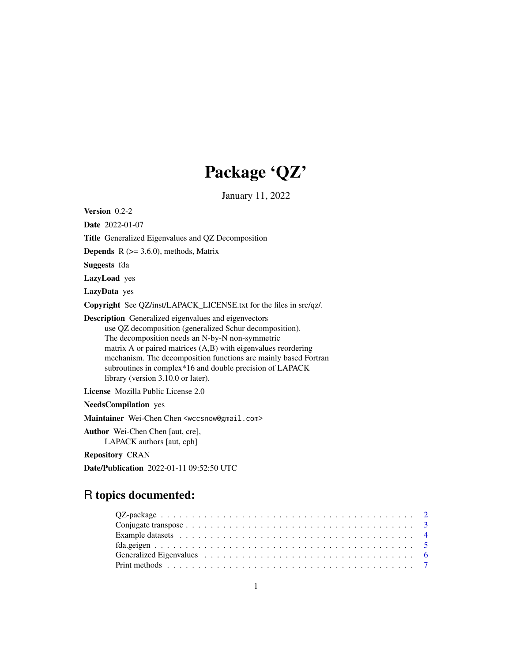# Package 'QZ'

January 11, 2022

| Version $0.2-2$                                                                                                                                                                                                                                                                                                                                                                                                   |
|-------------------------------------------------------------------------------------------------------------------------------------------------------------------------------------------------------------------------------------------------------------------------------------------------------------------------------------------------------------------------------------------------------------------|
| <b>Date</b> 2022-01-07                                                                                                                                                                                                                                                                                                                                                                                            |
| <b>Title</b> Generalized Eigenvalues and QZ Decomposition                                                                                                                                                                                                                                                                                                                                                         |
| <b>Depends</b> $R$ ( $>= 3.6.0$ ), methods, Matrix                                                                                                                                                                                                                                                                                                                                                                |
| Suggests fda                                                                                                                                                                                                                                                                                                                                                                                                      |
| <b>LazyLoad</b> yes                                                                                                                                                                                                                                                                                                                                                                                               |
| LazyData yes                                                                                                                                                                                                                                                                                                                                                                                                      |
| Copyright See QZ/inst/LAPACK_LICENSE.txt for the files in src/qz/.                                                                                                                                                                                                                                                                                                                                                |
| <b>Description</b> Generalized eigenvalues and eigenvectors<br>use QZ decomposition (generalized Schur decomposition).<br>The decomposition needs an N-by-N non-symmetric<br>matrix A or paired matrices $(A,B)$ with eigenvalues reordering<br>mechanism. The decomposition functions are mainly based Fortran<br>subroutines in complex*16 and double precision of LAPACK<br>library (version 3.10.0 or later). |
| License Mozilla Public License 2.0                                                                                                                                                                                                                                                                                                                                                                                |
| <b>NeedsCompilation</b> yes                                                                                                                                                                                                                                                                                                                                                                                       |
| Maintainer Wei-Chen Chen <wccsnow@gmail.com></wccsnow@gmail.com>                                                                                                                                                                                                                                                                                                                                                  |
| Author Wei-Chen Chen [aut, cre],<br>LAPACK authors [aut, cph]                                                                                                                                                                                                                                                                                                                                                     |
| <b>Repository CRAN</b>                                                                                                                                                                                                                                                                                                                                                                                            |
| <b>Date/Publication</b> 2022-01-11 09:52:50 UTC                                                                                                                                                                                                                                                                                                                                                                   |

# R topics documented: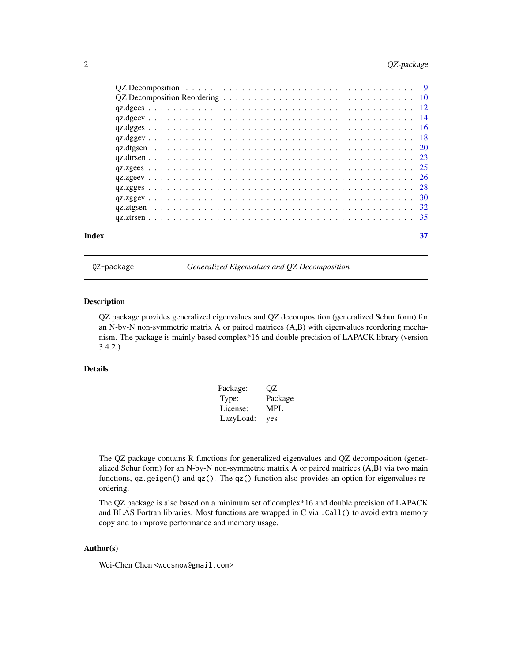# <span id="page-1-0"></span>2 QZ-package

| Index | 37 |
|-------|----|

QZ-package *Generalized Eigenvalues and QZ Decomposition*

#### Description

QZ package provides generalized eigenvalues and QZ decomposition (generalized Schur form) for an N-by-N non-symmetric matrix A or paired matrices (A,B) with eigenvalues reordering mechanism. The package is mainly based complex\*16 and double precision of LAPACK library (version 3.4.2.)

# Details

| Package:  | OΖ         |
|-----------|------------|
| Type:     | Package    |
| License:  | <b>MPL</b> |
| LazyLoad: | yes        |

The QZ package contains R functions for generalized eigenvalues and QZ decomposition (generalized Schur form) for an N-by-N non-symmetric matrix A or paired matrices (A,B) via two main functions, qz.geigen() and qz(). The qz() function also provides an option for eigenvalues reordering.

The QZ package is also based on a minimum set of complex\*16 and double precision of LAPACK and BLAS Fortran libraries. Most functions are wrapped in C via .Call() to avoid extra memory copy and to improve performance and memory usage.

#### Author(s)

Wei-Chen Chen <wccsnow@gmail.com>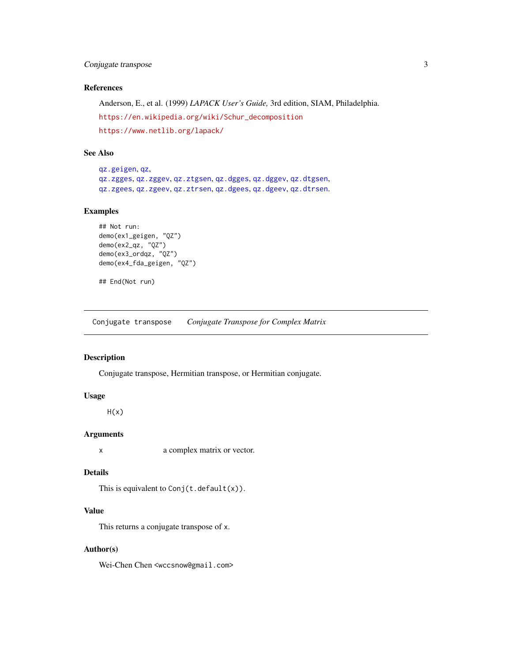# <span id="page-2-0"></span>Conjugate transpose 3

# References

Anderson, E., et al. (1999) *LAPACK User's Guide,* 3rd edition, SIAM, Philadelphia. [https://en.wikipedia.org/wiki/Schur\\_decomposition](https://en.wikipedia.org/wiki/Schur_decomposition) <https://www.netlib.org/lapack/>

#### See Also

[qz.geigen](#page-5-1), [qz](#page-8-1), [qz.zgges](#page-27-1), [qz.zggev](#page-29-1), [qz.ztgsen](#page-31-1), [qz.dgges](#page-15-1), [qz.dggev](#page-17-1), [qz.dtgsen](#page-19-1), [qz.zgees](#page-24-1), [qz.zgeev](#page-25-1), [qz.ztrsen](#page-34-1), [qz.dgees](#page-11-1), [qz.dgeev](#page-13-1), [qz.dtrsen](#page-22-1).

# Examples

```
## Not run:
demo(ex1_geigen, "QZ")
demo(ex2_qz, "QZ")
demo(ex3_ordqz, "QZ")
demo(ex4_fda_geigen, "QZ")
```
## End(Not run)

Conjugate transpose *Conjugate Transpose for Complex Matrix*

# Description

Conjugate transpose, Hermitian transpose, or Hermitian conjugate.

### Usage

 $H(x)$ 

#### Arguments

x a complex matrix or vector.

# Details

This is equivalent to  $Conj(t.default(x))$ .

# Value

This returns a conjugate transpose of x.

#### Author(s)

Wei-Chen Chen <wccsnow@gmail.com>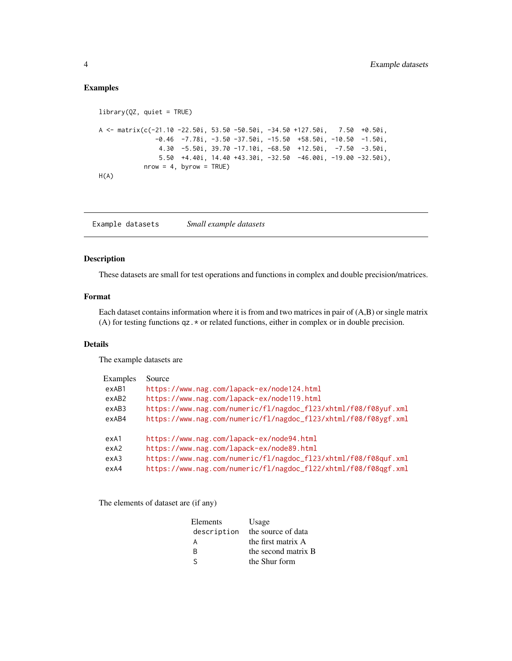# <span id="page-3-0"></span>Examples

```
library(QZ, quiet = TRUE)
A <- matrix(c(-21.10 -22.50i, 53.50 -50.50i, -34.50 +127.50i, 7.50 +0.50i,
              -0.46 -7.78i, -3.50 -37.50i, -15.50 +58.50i, -10.50 -1.50i,
               4.30 -5.50i, 39.70 -17.10i, -68.50 +12.50i, -7.50 -3.50i,
               5.50 +4.40i, 14.40 +43.30i, -32.50 -46.00i, -19.00 -32.50i),
           nrow = 4, byrow = TRUE)
H(A)
```
Example datasets *Small example datasets*

# Description

These datasets are small for test operations and functions in complex and double precision/matrices.

# Format

Each dataset contains information where it is from and two matrices in pair of (A,B) or single matrix (A) for testing functions qz.\* or related functions, either in complex or in double precision.

# Details

The example datasets are

| <b>Examples</b> | Source                                                          |
|-----------------|-----------------------------------------------------------------|
| exAB1           | https://www.nag.com/lapack-ex/node124.html                      |
| exAB2           | https://www.nag.com/lapack-ex/node119.html                      |
| exAB3           | https://www.nag.com/numeric/fl/nagdoc_fl23/xhtml/f08/f08yuf.xml |
| exAB4           | https://www.nag.com/numeric/fl/nagdoc_fl23/xhtml/f08/f08ygf.xml |
| exA1            | https://www.nag.com/lapack-ex/node94.html                       |
| exA2            | https://www.nag.com/lapack-ex/node89.html                       |
| exA3            | https://www.nag.com/numeric/fl/nagdoc_fl23/xhtml/f08/f08quf.xml |
| exA4            | https://www.nag.com/numeric/fl/nagdoc_fl22/xhtml/f08/f08qgf.xml |

The elements of dataset are (if any)

| Elements    | Usage               |
|-------------|---------------------|
| description | the source of data  |
| А           | the first matrix A  |
| R           | the second matrix B |
| ς           | the Shur form       |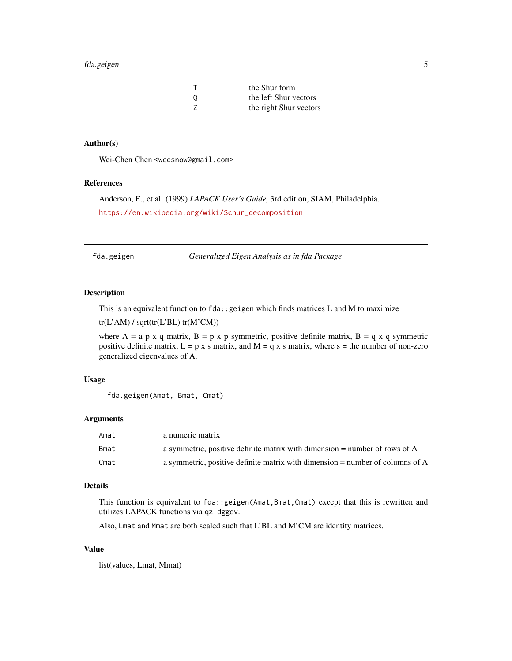# <span id="page-4-0"></span>fda.geigen 5

| т | the Shur form          |
|---|------------------------|
| 0 | the left Shur vectors  |
| Z | the right Shur vectors |

# Author(s)

Wei-Chen Chen <wccsnow@gmail.com>

#### References

Anderson, E., et al. (1999) *LAPACK User's Guide,* 3rd edition, SIAM, Philadelphia. [https://en.wikipedia.org/wiki/Schur\\_decomposition](https://en.wikipedia.org/wiki/Schur_decomposition)

fda.geigen *Generalized Eigen Analysis as in fda Package*

#### Description

This is an equivalent function to  $f$ da:: geigen which finds matrices L and M to maximize

tr(L'AM) / sqrt(tr(L'BL) tr(M'CM))

where A = a p x q matrix, B = p x p symmetric, positive definite matrix, B = q x q symmetric positive definite matrix,  $L = p \times s$  matrix, and  $M = q \times s$  matrix, where  $s =$  the number of non-zero generalized eigenvalues of A.

#### Usage

```
fda.geigen(Amat, Bmat, Cmat)
```
#### Arguments

| Amat | a numeric matrix                                                                |
|------|---------------------------------------------------------------------------------|
| Bmat | a symmetric, positive definite matrix with dimension $=$ number of rows of A    |
| Cmat | a symmetric, positive definite matrix with dimension $=$ number of columns of A |

# Details

This function is equivalent to fda::geigen(Amat,Bmat,Cmat) except that this is rewritten and utilizes LAPACK functions via qz.dggev.

Also, Lmat and Mmat are both scaled such that L'BL and M'CM are identity matrices.

#### Value

list(values, Lmat, Mmat)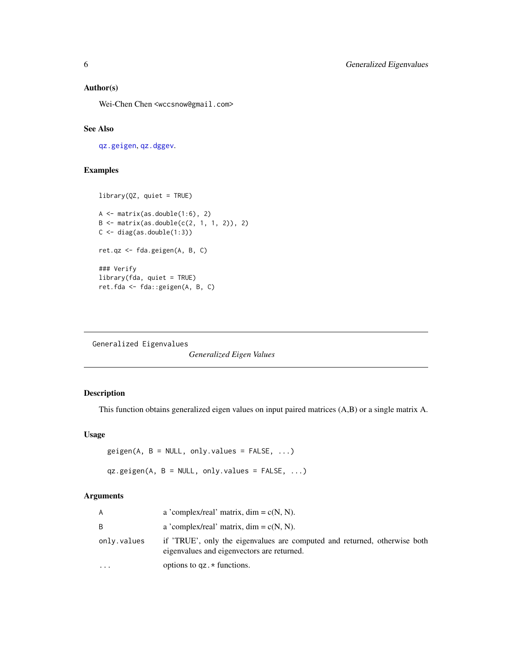# <span id="page-5-0"></span>Author(s)

Wei-Chen Chen <wccsnow@gmail.com>

# See Also

[qz.geigen](#page-5-1), [qz.dggev](#page-17-1).

# Examples

```
library(QZ, quiet = TRUE)
A \leq matrix(as.double(1:6), 2)
B \le - matrix(as.double(c(2, 1, 1, 2)), 2)
C \leftarrow diag(as.double(1:3))ret.qz <- fda.geigen(A, B, C)
### Verify
library(fda, quiet = TRUE)
ret.fda <- fda::geigen(A, B, C)
```
Generalized Eigenvalues

*Generalized Eigen Values*

# <span id="page-5-1"></span>Description

This function obtains generalized eigen values on input paired matrices (A,B) or a single matrix A.

#### Usage

```
geigen(A, B = NULL, only.values = FALSE, ...)qz.geigen(A, B = NULL, only.values = FALSE, ...)
```
# Arguments

| A           | a 'complex/real' matrix, $\dim = c(N, N)$ .                                                                             |
|-------------|-------------------------------------------------------------------------------------------------------------------------|
| B           | a 'complex/real' matrix, $\dim = c(N, N)$ .                                                                             |
| only.values | if 'TRUE', only the eigenvalues are computed and returned, otherwise both<br>eigenvalues and eigenvectors are returned. |
| $\cdots$    | options to $qz.*$ functions.                                                                                            |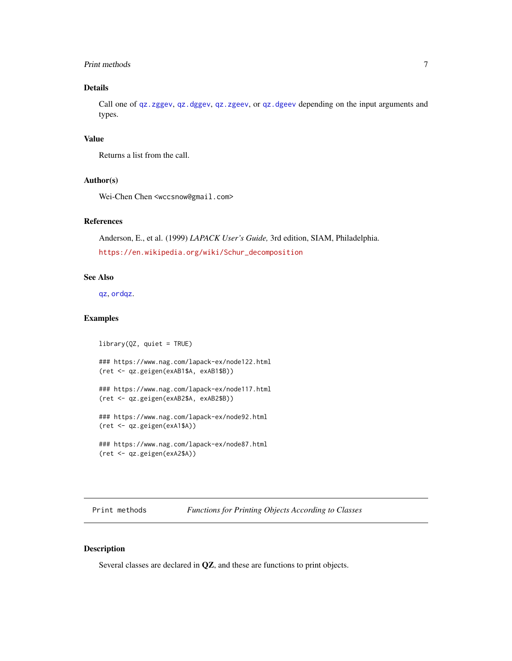# <span id="page-6-0"></span>Print methods 7

# Details

Call one of [qz.zggev](#page-29-1), [qz.dggev](#page-17-1), [qz.zgeev](#page-25-1), or [qz.dgeev](#page-13-1) depending on the input arguments and types.

#### Value

Returns a list from the call.

#### Author(s)

Wei-Chen Chen <wccsnow@gmail.com>

# References

Anderson, E., et al. (1999) *LAPACK User's Guide,* 3rd edition, SIAM, Philadelphia. [https://en.wikipedia.org/wiki/Schur\\_decomposition](https://en.wikipedia.org/wiki/Schur_decomposition)

#### See Also

[qz](#page-8-1), [ordqz](#page-9-1).

#### Examples

```
library(QZ, quiet = TRUE)
### https://www.nag.com/lapack-ex/node122.html
(ret <- qz.geigen(exAB1$A, exAB1$B))
### https://www.nag.com/lapack-ex/node117.html
(ret <- qz.geigen(exAB2$A, exAB2$B))
### https://www.nag.com/lapack-ex/node92.html
(ret <- qz.geigen(exA1$A))
### https://www.nag.com/lapack-ex/node87.html
(ret <- qz.geigen(exA2$A))
```
Print methods *Functions for Printing Objects According to Classes*

#### Description

Several classes are declared in QZ, and these are functions to print objects.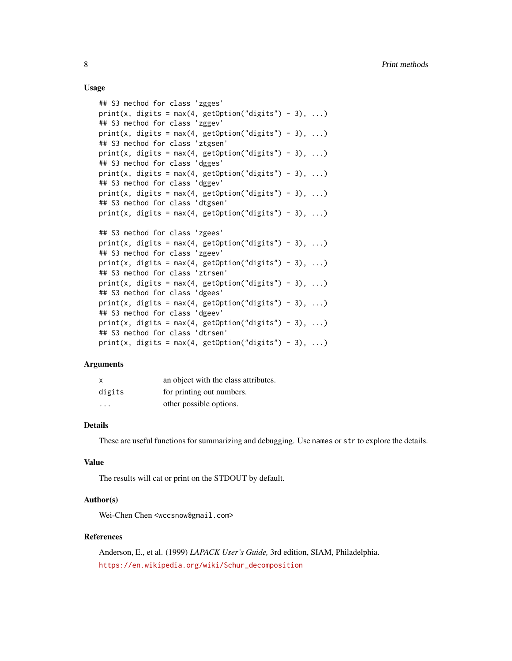#### Usage

```
## S3 method for class 'zgges'
print(x, digits = max(4, getOption("digits") - 3), ...)## S3 method for class 'zggev'
print(x, digits = max(4, getOption("digits") - 3), ...)## S3 method for class 'ztgsen'
print(x, digits = max(4, getOption("digits") - 3), ...)
## S3 method for class 'dgges'
print(x, digits = max(4, getOption("digits") - 3), ...)
## S3 method for class 'dggev'
print(x, digits = max(4, getOption("digits") - 3), ...)
## S3 method for class 'dtgsen'
print(x, \text{ digits} = max(4, \text{ getOption("digits")} - 3), ...)## S3 method for class 'zgees'
print(x, digits = max(4, getOption("digits") - 3), ...)
## S3 method for class 'zgeev'
print(x, digits = max(4, getOption("digits") - 3), ...)
## S3 method for class 'ztrsen'
print(x, digits = max(4, getOption("digits") - 3), ...)
## S3 method for class 'dgees'
print(x, digits = max(4, getOption("digits") - 3), ...)
## S3 method for class 'dgeev'
print(x, digits = max(4, getOption("digits") - 3), ...)
## S3 method for class 'dtrsen'
print(x, digits = max(4, getOption("digits") - 3), ...)
```
#### **Arguments**

| $\mathsf{x}$ | an object with the class attributes. |
|--------------|--------------------------------------|
| digits       | for printing out numbers.            |
| $\cdots$     | other possible options.              |

#### Details

These are useful functions for summarizing and debugging. Use names or str to explore the details.

#### Value

The results will cat or print on the STDOUT by default.

# Author(s)

Wei-Chen Chen <wccsnow@gmail.com>

#### References

Anderson, E., et al. (1999) *LAPACK User's Guide,* 3rd edition, SIAM, Philadelphia. [https://en.wikipedia.org/wiki/Schur\\_decomposition](https://en.wikipedia.org/wiki/Schur_decomposition)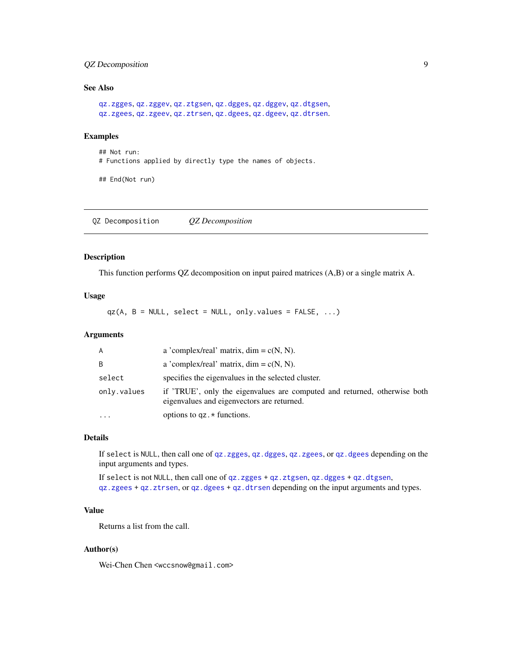# <span id="page-8-0"></span>QZ Decomposition 9

# See Also

```
qz.zgges, qz.zggev, qz.ztgsen, qz.dgges, qz.dggev, qz.dtgsen,
qz.zgees, qz.zgeev, qz.ztrsen, qz.dgees, qz.dgeev, qz.dtrsen.
```
#### Examples

## Not run: # Functions applied by directly type the names of objects.

## End(Not run)

QZ Decomposition *QZ Decomposition*

# <span id="page-8-1"></span>Description

This function performs QZ decomposition on input paired matrices (A,B) or a single matrix A.

#### Usage

 $qz(A, B = NULL, select = NULL, only.values = FALSE, ...)$ 

# Arguments

| A           | a 'complex/real' matrix, $\dim = c(N, N)$ .                                                                             |
|-------------|-------------------------------------------------------------------------------------------------------------------------|
| B           | a 'complex/real' matrix, $\dim = c(N, N)$ .                                                                             |
| select      | specifies the eigenvalues in the selected cluster.                                                                      |
| only.values | if 'TRUE', only the eigenvalues are computed and returned, otherwise both<br>eigenvalues and eigenvectors are returned. |
|             | options to $qz.*$ functions.                                                                                            |

## Details

If select is NULL, then call one of [qz.zgges](#page-27-1), [qz.dgges](#page-15-1), [qz.zgees](#page-24-1), or [qz.dgees](#page-11-1) depending on the input arguments and types.

If select is not NULL, then call one of [qz.zgges](#page-27-1) + [qz.ztgsen](#page-31-1), [qz.dgges](#page-15-1) + [qz.dtgsen](#page-19-1), [qz.zgees](#page-24-1) + [qz.ztrsen](#page-34-1), or [qz.dgees](#page-11-1) + [qz.dtrsen](#page-22-1) depending on the input arguments and types.

# Value

Returns a list from the call.

#### Author(s)

Wei-Chen Chen <wccsnow@gmail.com>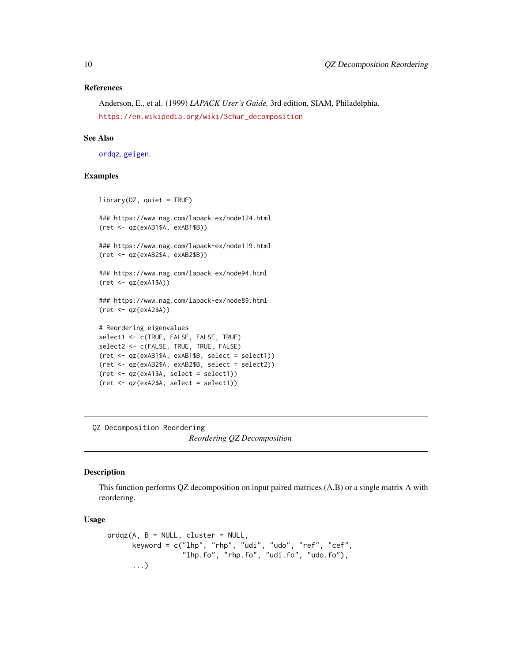#### References

Anderson, E., et al. (1999) *LAPACK User's Guide,* 3rd edition, SIAM, Philadelphia. [https://en.wikipedia.org/wiki/Schur\\_decomposition](https://en.wikipedia.org/wiki/Schur_decomposition)

#### See Also

[ordqz](#page-9-1), [geigen](#page-5-1).

#### Examples

```
library(QZ, quiet = TRUE)
### https://www.nag.com/lapack-ex/node124.html
(ret <- qz(exAB1$A, exAB1$B))
### https://www.nag.com/lapack-ex/node119.html
(ret <- qz(exAB2$A, exAB2$B))
### https://www.nag.com/lapack-ex/node94.html
(ret <- qz(exA1$A))
### https://www.nag.com/lapack-ex/node89.html
(ret <- qz(exA2$A))
# Reordering eigenvalues
select1 <- c(TRUE, FALSE, FALSE, TRUE)
select2 <- c(FALSE, TRUE, TRUE, FALSE)
(ret <- qz(exAB1$A, exAB1$B, select = select1))
(ret <- qz(exAB2$A, exAB2$B, select = select2))
(ret <- qz(exA1$A, select = select1))
(ret <- qz(exA2$A, select = select1))
```
QZ Decomposition Reordering

#### *Reordering QZ Decomposition*

#### <span id="page-9-1"></span>Description

This function performs QZ decomposition on input paired matrices (A,B) or a single matrix A with reordering.

#### Usage

```
ordqz(A, B = NULL, cluster = NULL,keyword = c("lhp", "rhp", "udi", "udo", "ref", "cef",
                  "lhp.fo", "rhp.fo", "udi.fo", "udo.fo"),
      ...)
```
<span id="page-9-0"></span>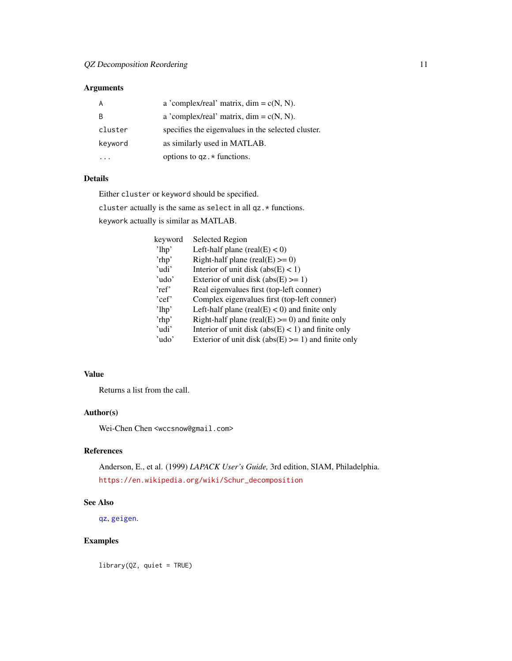# <span id="page-10-0"></span>Arguments

|         | a 'complex/real' matrix, $\dim = c(N, N)$ .        |
|---------|----------------------------------------------------|
| B       | a 'complex/real' matrix, $\dim = c(N, N)$ .        |
| cluster | specifies the eigenvalues in the selected cluster. |
| keyword | as similarly used in MATLAB.                       |
|         | options to $qz.*$ functions.                       |

# Details

Either cluster or keyword should be specified.

cluster actually is the same as select in all qz.\* functions.

keywork actually is similar as MATLAB.

| keyword  | <b>Selected Region</b>                                 |
|----------|--------------------------------------------------------|
| $'1$ hp' | Left-half plane (real(E) $<$ 0)                        |
| 'rhp'    | Right-half plane (real(E) $>= 0$ )                     |
| 'udi'    | Interior of unit disk $(abs(E) < 1)$                   |
| 'udo'    | Exterior of unit disk $(abs(E) \ge 1)$                 |
| 'ref'    | Real eigenvalues first (top-left conner)               |
| 'cef'    | Complex eigenvalues first (top-left conner)            |
| $'$ lhp' | Left-half plane (real(E) $<$ 0) and finite only        |
| 'rhp'    | Right-half plane (real(E) $>= 0$ ) and finite only     |
| 'udi'    | Interior of unit disk $(abs(E) < 1)$ and finite only   |
| 'udo'    | Exterior of unit disk (abs(E) $>= 1$ ) and finite only |

# Value

Returns a list from the call.

# Author(s)

Wei-Chen Chen <wccsnow@gmail.com>

# References

Anderson, E., et al. (1999) *LAPACK User's Guide,* 3rd edition, SIAM, Philadelphia. [https://en.wikipedia.org/wiki/Schur\\_decomposition](https://en.wikipedia.org/wiki/Schur_decomposition)

# See Also

[qz](#page-8-1), [geigen](#page-5-1).

# Examples

library(QZ, quiet = TRUE)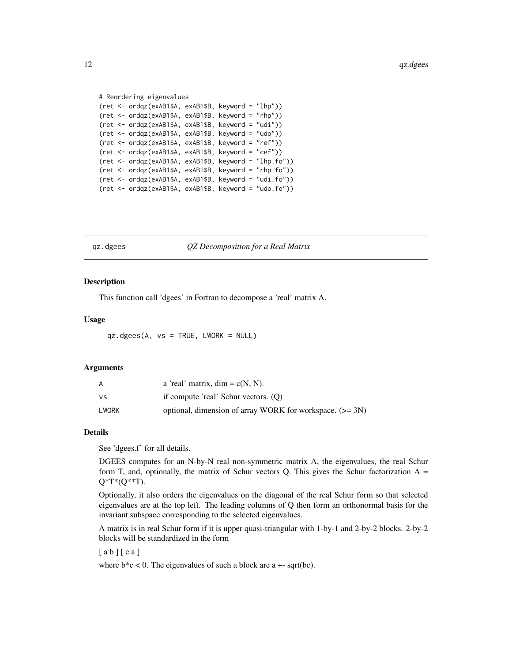```
# Reordering eigenvalues
(ret <- ordqz(exAB1$A, exAB1$B, keyword = "lhp"))
(ret <- ordqz(exAB1$A, exAB1$B, keyword = "rhp"))
(ret <- ordqz(exAB1$A, exAB1$B, keyword = "udi"))
(ret <- ordqz(exAB1$A, exAB1$B, keyword = "udo"))
(ret <- ordqz(exAB1$A, exAB1$B, keyword = "ref"))
(ret <- ordqz(exAB1$A, exAB1$B, keyword = "cef"))
(ret <- ordqz(exAB1$A, exAB1$B, keyword = "lhp.fo"))
(ret <- ordqz(exAB1$A, exAB1$B, keyword = "rhp.fo"))
(ret <- ordqz(exAB1$A, exAB1$B, keyword = "udi.fo"))
(ret <- ordqz(exAB1$A, exAB1$B, keyword = "udo.fo"))
```
<span id="page-11-1"></span>qz.dgees *QZ Decomposition for a Real Matrix*

#### **Description**

This function call 'dgees' in Fortran to decompose a 'real' matrix A.

#### Usage

qz.dgees(A, vs = TRUE, LWORK = NULL)

#### Arguments

| A     | a 'real' matrix, $\dim = c(N, N)$ .                        |
|-------|------------------------------------------------------------|
| ٧S    | if compute 'real' Schur vectors. $(O)$                     |
| LWORK | optional, dimension of array WORK for workspace. $(>= 3N)$ |

#### Details

See 'dgees.f' for all details.

DGEES computes for an N-by-N real non-symmetric matrix A, the eigenvalues, the real Schur form T, and, optionally, the matrix of Schur vectors Q. This gives the Schur factorization  $A =$ Q\*T\*(Q\*\*T).

Optionally, it also orders the eigenvalues on the diagonal of the real Schur form so that selected eigenvalues are at the top left. The leading columns of Q then form an orthonormal basis for the invariant subspace corresponding to the selected eigenvalues.

A matrix is in real Schur form if it is upper quasi-triangular with 1-by-1 and 2-by-2 blocks. 2-by-2 blocks will be standardized in the form

 $[a b] [ c a]$ 

where  $b * c < 0$ . The eigenvalues of such a block are a  $+$ - sqrt(bc).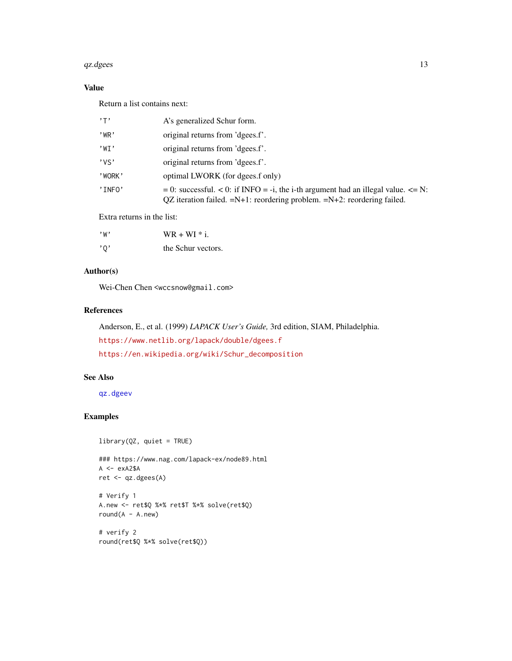#### <span id="page-12-0"></span> $qz.dgees$  13

# Value

Return a list contains next:

| $, \mathsf{T}$ | A's generalized Schur form.                                                                                                                                                  |
|----------------|------------------------------------------------------------------------------------------------------------------------------------------------------------------------------|
| $'$ WR $'$     | original returns from 'dgees.f'.                                                                                                                                             |
| 'WT'           | original returns from 'dgees.f'.                                                                                                                                             |
| 'vs'           | original returns from 'dgees.f'.                                                                                                                                             |
| 'WORK'         | optimal LWORK (for dgees.f only)                                                                                                                                             |
| 'INFO'         | $= 0$ : successful. < 0: if INFO = -i, the i-th argument had an illegal value. $\leq N$ :<br>$QZ$ iteration failed. $=N+1$ : reordering problem. $=N+2$ : reordering failed. |

Extra returns in the list:

| , w                       | $WR + WI * i$ .    |
|---------------------------|--------------------|
| $^{\prime}$ 0 $^{\prime}$ | the Schur vectors. |

# Author(s)

Wei-Chen Chen <wccsnow@gmail.com>

#### References

Anderson, E., et al. (1999) *LAPACK User's Guide,* 3rd edition, SIAM, Philadelphia. <https://www.netlib.org/lapack/double/dgees.f> [https://en.wikipedia.org/wiki/Schur\\_decomposition](https://en.wikipedia.org/wiki/Schur_decomposition)

# See Also

[qz.dgeev](#page-13-1)

## Examples

```
library(QZ, quiet = TRUE)
```
### https://www.nag.com/lapack-ex/node89.html  $A \leftarrow$  exA2\$A ret <- qz.dgees(A)

```
# Verify 1
A.new <- ret$Q %*% ret$T %*% solve(ret$Q)
round(A - A.new)
```
# verify 2 round(ret\$Q %\*% solve(ret\$Q))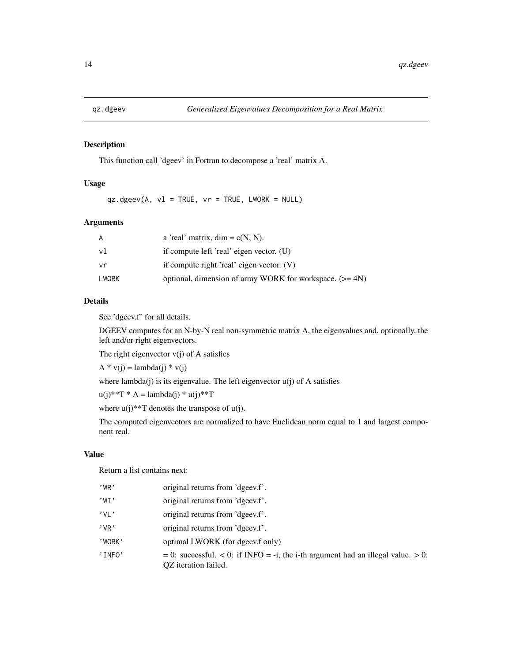<span id="page-13-1"></span><span id="page-13-0"></span>

#### Description

This function call 'dgeev' in Fortran to decompose a 'real' matrix A.

# Usage

 $qz.dgeev(A, v1 = TRUE, vr = TRUE, LWORK = NULL)$ 

# Arguments

| A     | a 'real' matrix, $\dim = c(N, N)$ .                        |
|-------|------------------------------------------------------------|
| vl    | if compute left 'real' eigen vector. (U)                   |
| vr    | if compute right 'real' eigen vector. $(V)$                |
| LWORK | optional, dimension of array WORK for workspace. $(>= 4N)$ |

#### Details

See 'dgeev.f' for all details.

DGEEV computes for an N-by-N real non-symmetric matrix A, the eigenvalues and, optionally, the left and/or right eigenvectors.

The right eigenvector  $v(j)$  of A satisfies

 $A * v(j) = lambda(j) * v(j)$ 

where lambda(j) is its eigenvalue. The left eigenvector  $u(j)$  of A satisfies

 $u(j)$ \*\*T \* A = lambda(j) \*  $u(j)$ \*\*T

where  $u(j)**T$  denotes the transpose of  $u(j)$ .

The computed eigenvectors are normalized to have Euclidean norm equal to 1 and largest component real.

# Value

Return a list contains next:

| $'$ WR $'$ | original returns from 'dgeev.f'.                                                                            |
|------------|-------------------------------------------------------------------------------------------------------------|
| 'WT'       | original returns from 'dgeev.f'.                                                                            |
| $'$ VI $'$ | original returns from 'dgeev.f'.                                                                            |
| $'$ VR $'$ | original returns from 'dgeev.f'.                                                                            |
| 'WORK'     | optimal LWORK (for dgeev.f only)                                                                            |
| 'INFO'     | $= 0$ : successful. < 0: if INFO = -i, the i-th argument had an illegal value. > 0:<br>OZ iteration failed. |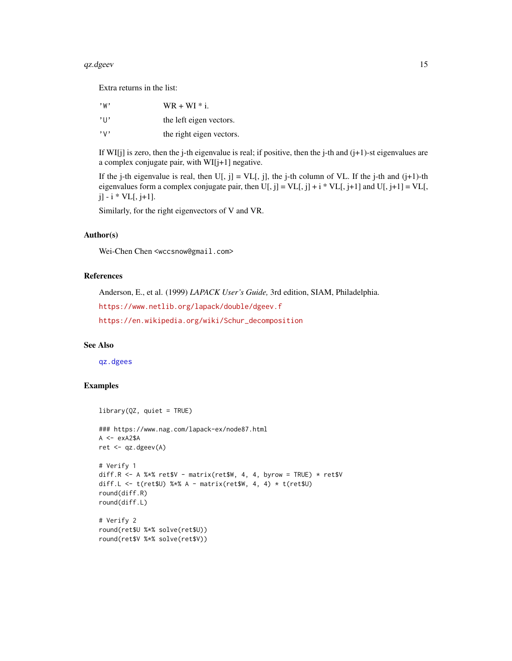#### <span id="page-14-0"></span> $qz.dgeev$  15

Extra returns in the list:

| , w,                      | $WR + WI * i$ .          |
|---------------------------|--------------------------|
| $^{\prime}$ U $^{\prime}$ | the left eigen vectors.  |
| $, \vee,$                 | the right eigen vectors. |

If WI[j] is zero, then the j-th eigenvalue is real; if positive, then the j-th and  $(j+1)$ -st eigenvalues are a complex conjugate pair, with WI[j+1] negative.

If the j-th eigenvalue is real, then  $U[, j] = VL[, j]$ , the j-th column of VL. If the j-th and  $(j+1)$ -th eigenvalues form a complex conjugate pair, then  $U[, j] = VL[, j] + i * VL[, j+1]$  and  $U[, j+1] = VL[,$  $j$ ] -  $i *$  VL[,  $j+1$ ].

Similarly, for the right eigenvectors of V and VR.

#### Author(s)

Wei-Chen Chen <wccsnow@gmail.com>

# References

Anderson, E., et al. (1999) *LAPACK User's Guide,* 3rd edition, SIAM, Philadelphia.

<https://www.netlib.org/lapack/double/dgeev.f>

[https://en.wikipedia.org/wiki/Schur\\_decomposition](https://en.wikipedia.org/wiki/Schur_decomposition)

# See Also

[qz.dgees](#page-11-1)

# Examples

```
library(QZ, quiet = TRUE)
### https://www.nag.com/lapack-ex/node87.html
A \leftarrow exA2$A
ret <- qz.dgeev(A)
# Verify 1
diff.R \leq A %*% ret$V - matrix(ret$W, 4, 4, byrow = TRUE) * ret$V
diff.L <- t(ret$U) %*% A - matrix(ret$W, 4, 4) * t(ret$U)
round(diff.R)
round(diff.L)
# Verify 2
round(ret$U %*% solve(ret$U))
round(ret$V %*% solve(ret$V))
```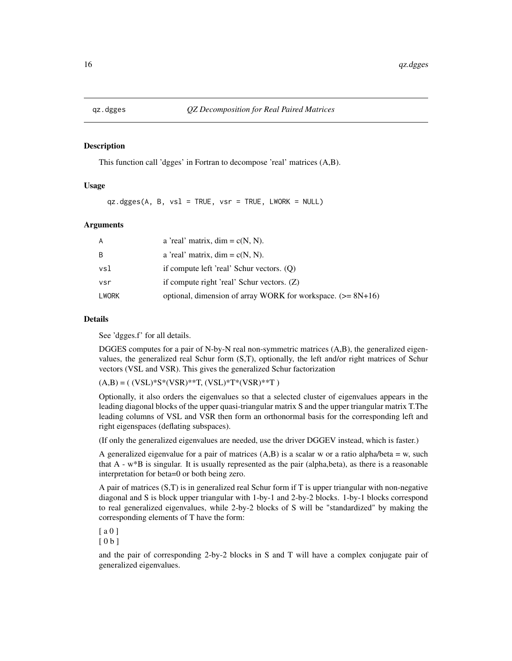<span id="page-15-1"></span><span id="page-15-0"></span>

#### Description

This function call 'dgges' in Fortran to decompose 'real' matrices (A,B).

#### Usage

qz.dgges(A, B, vsl = TRUE, vsr = TRUE, LWORK = NULL)

#### Arguments

| A     | a 'real' matrix, $\dim = c(N, N)$ .                           |
|-------|---------------------------------------------------------------|
| B     | a 'real' matrix, $\dim = c(N, N)$ .                           |
| vsl   | if compute left 'real' Schur vectors. $(0)$                   |
| vsr   | if compute right 'real' Schur vectors. (Z)                    |
| LWORK | optional, dimension of array WORK for workspace. $(>= 8N+16)$ |

#### Details

See 'dgges.f' for all details.

DGGES computes for a pair of N-by-N real non-symmetric matrices (A,B), the generalized eigenvalues, the generalized real Schur form (S,T), optionally, the left and/or right matrices of Schur vectors (VSL and VSR). This gives the generalized Schur factorization

 $(A,B) = ( (VSL)*S*(VSR)**T, (VSL)*T*(VSR)**T )$ 

Optionally, it also orders the eigenvalues so that a selected cluster of eigenvalues appears in the leading diagonal blocks of the upper quasi-triangular matrix S and the upper triangular matrix T.The leading columns of VSL and VSR then form an orthonormal basis for the corresponding left and right eigenspaces (deflating subspaces).

(If only the generalized eigenvalues are needed, use the driver DGGEV instead, which is faster.)

A generalized eigenvalue for a pair of matrices  $(A,B)$  is a scalar w or a ratio alpha/beta = w, such that A - w\*B is singular. It is usually represented as the pair (alpha,beta), as there is a reasonable interpretation for beta=0 or both being zero.

A pair of matrices (S,T) is in generalized real Schur form if T is upper triangular with non-negative diagonal and S is block upper triangular with 1-by-1 and 2-by-2 blocks. 1-by-1 blocks correspond to real generalized eigenvalues, while 2-by-2 blocks of S will be "standardized" by making the corresponding elements of T have the form:

[ a 0 ]

[ 0 b ]

and the pair of corresponding 2-by-2 blocks in S and T will have a complex conjugate pair of generalized eigenvalues.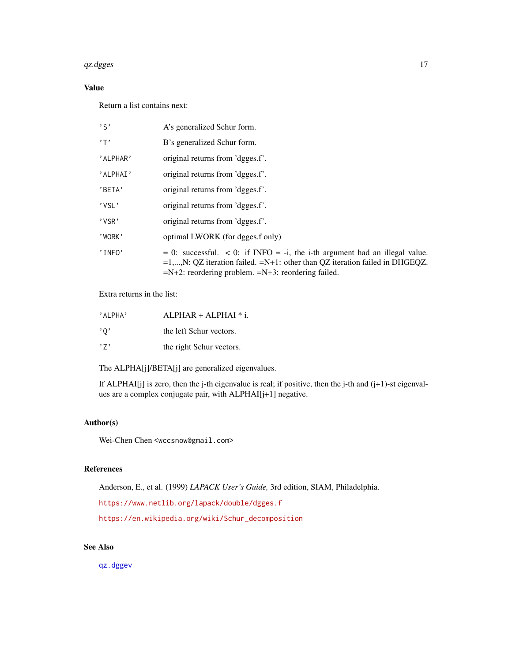#### <span id="page-16-0"></span> $qz.dgges$  17

# Value

Return a list contains next:

| $, \varsigma,$ | A's generalized Schur form.                                                                                                                                                                                                     |
|----------------|---------------------------------------------------------------------------------------------------------------------------------------------------------------------------------------------------------------------------------|
| $, \mathsf{T}$ | B's generalized Schur form.                                                                                                                                                                                                     |
| 'ALPHAR'       | original returns from 'dgges.f'.                                                                                                                                                                                                |
| 'ALPHAI'       | original returns from 'dgges.f'.                                                                                                                                                                                                |
| 'BETA'         | original returns from 'dgges.f'.                                                                                                                                                                                                |
| 'VSL'          | original returns from 'dgges.f'.                                                                                                                                                                                                |
| 'VSR'          | original returns from 'dgges.f'.                                                                                                                                                                                                |
| 'WORK'         | optimal LWORK (for dgges.f only)                                                                                                                                                                                                |
| 'INFO'         | $= 0$ : successful. < 0: if INFO = -i, the i-th argument had an illegal value.<br>$=1,,N$ : QZ iteration failed. $=N+1$ : other than QZ iteration failed in DHGEQZ.<br>$=N+2$ : reordering problem. $=N+3$ : reordering failed. |

Extra returns in the list:

| 'ALPHA' | $ALPHAR + ALPHAI * i.$   |
|---------|--------------------------|
| , 0, 1  | the left Schur vectors.  |
| , 7,    | the right Schur vectors. |

The ALPHA[j]/BETA[j] are generalized eigenvalues.

If ALPHAI[j] is zero, then the j-th eigenvalue is real; if positive, then the j-th and (j+1)-st eigenvalues are a complex conjugate pair, with ALPHAI[j+1] negative.

# Author(s)

Wei-Chen Chen <wccsnow@gmail.com>

# References

Anderson, E., et al. (1999) *LAPACK User's Guide,* 3rd edition, SIAM, Philadelphia.

<https://www.netlib.org/lapack/double/dgges.f>

[https://en.wikipedia.org/wiki/Schur\\_decomposition](https://en.wikipedia.org/wiki/Schur_decomposition)

# See Also

[qz.dggev](#page-17-1)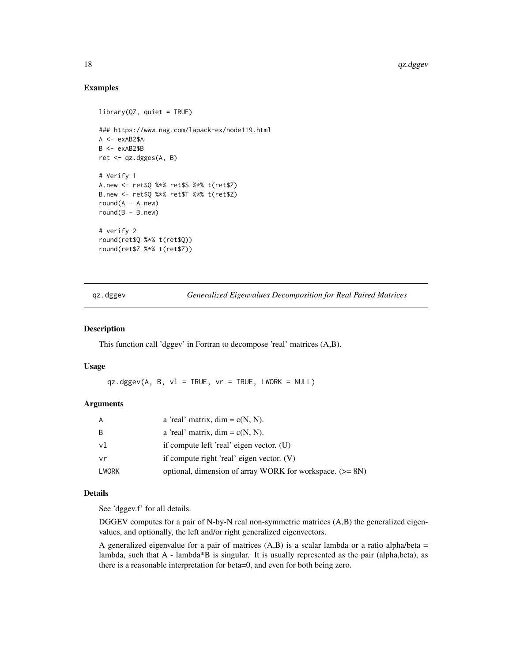#### Examples

```
library(QZ, quiet = TRUE)
### https://www.nag.com/lapack-ex/node119.html
A \leq -e \times AB2$A
B <- exAB2$B
ret <- qz.dgges(A, B)
# Verify 1
A.new <- ret$Q %*% ret$S %*% t(ret$Z)
B.new <- ret$Q %*% ret$T %*% t(ret$Z)
round(A - A.new)round(B - B.new)# verify 2
round(ret$Q %*% t(ret$Q))
round(ret$Z %*% t(ret$Z))
```
<span id="page-17-1"></span>qz.dggev *Generalized Eigenvalues Decomposition for Real Paired Matrices*

#### Description

This function call 'dggev' in Fortran to decompose 'real' matrices (A,B).

#### Usage

 $qz.dggev(A, B, v1 = TRUE, vr = TRUE, LWORK = NULL)$ 

# Arguments

| A     | a 'real' matrix, $dim = c(N, N)$ .                         |
|-------|------------------------------------------------------------|
| B     | a 'real' matrix, $\dim = c(N, N)$ .                        |
| v1    | if compute left 'real' eigen vector. (U)                   |
| vr    | if compute right 'real' eigen vector. $(V)$                |
| LWORK | optional, dimension of array WORK for workspace. $(>= 8N)$ |

# Details

See 'dggev.f' for all details.

DGGEV computes for a pair of N-by-N real non-symmetric matrices (A,B) the generalized eigenvalues, and optionally, the left and/or right generalized eigenvectors.

A generalized eigenvalue for a pair of matrices  $(A,B)$  is a scalar lambda or a ratio alpha/beta = lambda, such that A - lambda\*B is singular. It is usually represented as the pair (alpha,beta), as there is a reasonable interpretation for beta=0, and even for both being zero.

<span id="page-17-0"></span>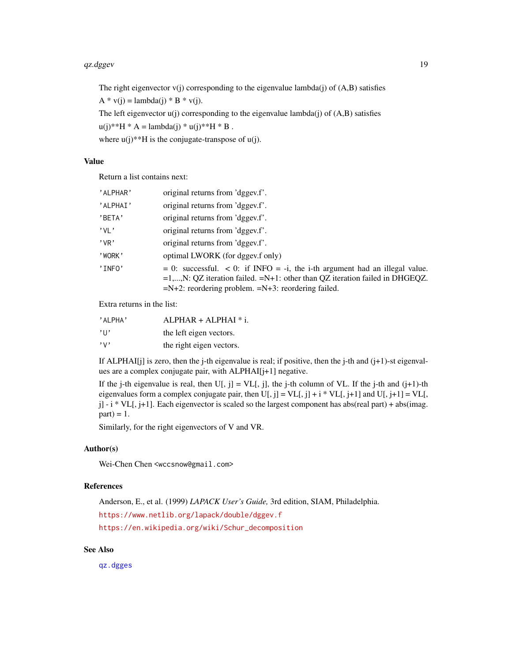#### <span id="page-18-0"></span>qz.dggev 19

The right eigenvector  $v(j)$  corresponding to the eigenvalue lambda $(j)$  of  $(A,B)$  satisfies

 $A * v(j) =$ lambda(j) \* B \* v(j).

The left eigenvector  $u(j)$  corresponding to the eigenvalue lambda $(j)$  of  $(A,B)$  satisfies

 $u(i)**H * A =$ lambda $(i) * u(i)**H * B$ .

where  $u(j)$ <sup>\*\*</sup>H is the conjugate-transpose of  $u(j)$ .

# Value

Return a list contains next:

| 'ALPHAR'   | original returns from 'dggev.f'.                                                     |
|------------|--------------------------------------------------------------------------------------|
| 'ALPHAI'   | original returns from 'dggev.f'.                                                     |
| 'BETA'     | original returns from 'dggev.f'.                                                     |
| $'$ VI $'$ | original returns from 'dggev.f'.                                                     |
| $'$ VR $'$ | original returns from 'dggev.f'.                                                     |
| 'WORK'     | optimal LWORK (for dggev.f only)                                                     |
| 'INFO'     | $= 0$ : successful. $< 0$ : if INFO $= -i$ , the i-th argument had an illegal value. |
|            | $=1,,N$ : QZ iteration failed. $=N+1$ : other than QZ iteration failed in DHGEQZ.    |
|            | $=N+2$ : reordering problem. $=N+3$ : reordering failed.                             |

Extra returns in the list:

| 'ALPHA'         | $ALPHAR + ALPHAI * i.$   |
|-----------------|--------------------------|
| $^{\prime}$ 11' | the left eigen vectors.  |
| $, \vee,$       | the right eigen vectors. |

If ALPHAI[j] is zero, then the j-th eigenvalue is real; if positive, then the j-th and  $(j+1)$ -st eigenvalues are a complex conjugate pair, with ALPHAI[j+1] negative.

If the j-th eigenvalue is real, then  $U[, j] = VLI[, j]$ , the j-th column of VL. If the j-th and (j+1)-th eigenvalues form a complex conjugate pair, then  $U[, j] = VL[, j] + i * VL[, j+1]$  and  $U[, j+1] = VL[,$  $j$ ] - i \* VL[, j+1]. Each eigenvector is scaled so the largest component has abs(real part) + abs(imag.  $part$ ) = 1.

Similarly, for the right eigenvectors of V and VR.

#### Author(s)

Wei-Chen Chen <wccsnow@gmail.com>

# References

Anderson, E., et al. (1999) *LAPACK User's Guide,* 3rd edition, SIAM, Philadelphia. <https://www.netlib.org/lapack/double/dggev.f> [https://en.wikipedia.org/wiki/Schur\\_decomposition](https://en.wikipedia.org/wiki/Schur_decomposition)

# See Also

[qz.dgges](#page-15-1)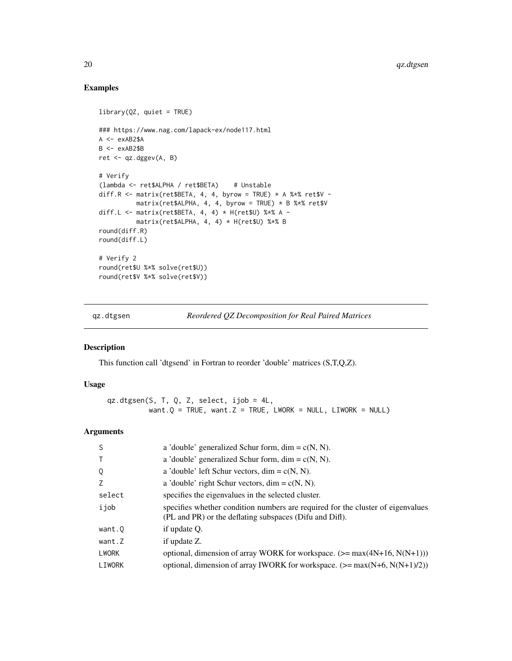# Examples

```
library(QZ, quiet = TRUE)
### https://www.nag.com/lapack-ex/node117.html
A \leq -e \times AB2$A
B <- exAB2$B
ret <- qz.dggev(A, B)
# Verify
(lambda <- ret$ALPHA / ret$BETA) # Unstable
diff.R <- matrix(ret$BETA, 4, 4, byrow = TRUE) * A %*% ret$V -
         matrix(ret$ALPHA, 4, 4, byrow = TRUE) * B $**$ ret$Vdiff.L <- matrix(ret$BETA, 4, 4) * H(ret$U) %*% A -
          matrix(ret$ALPHA, 4, 4) * H(ret$U) %*% B
round(diff.R)
round(diff.L)
# Verify 2
round(ret$U %*% solve(ret$U))
round(ret$V %*% solve(ret$V))
```
<span id="page-19-1"></span>qz.dtgsen *Reordered QZ Decomposition for Real Paired Matrices*

#### Description

This function call 'dtgsend' in Fortran to reorder 'double' matrices (S,T,Q,Z).

# Usage

qz.dtgsen(S, T, Q, Z, select, ijob = 4L, want. $Q = TRUE$ , want. $Z = TRUE$ , LWORK = NULL, LIWORK = NULL)

# Arguments

| <sub>S</sub> | a 'double' generalized Schur form, dim = $c(N, N)$ .                                                                                       |
|--------------|--------------------------------------------------------------------------------------------------------------------------------------------|
| $\top$       | a 'double' generalized Schur form, dim = $c(N, N)$ .                                                                                       |
| Q            | a 'double' left Schur vectors, dim = $c(N, N)$ .                                                                                           |
| Z            | a 'double' right Schur vectors, dim = $c(N, N)$ .                                                                                          |
| select       | specifies the eigenvalues in the selected cluster.                                                                                         |
| ijob         | specifies whether condition numbers are required for the cluster of eigenvalues<br>(PL and PR) or the deflating subspaces (Difu and Diff). |
| want.0       | if update Q.                                                                                                                               |
| want.Z       | if update Z.                                                                                                                               |
| <b>LWORK</b> | optional, dimension of array WORK for workspace. $(>= max(4N+16, N(N+1)))$                                                                 |
| LIWORK       | optional, dimension of array IWORK for workspace. $(\geq = \max(N+6, N(N+1)/2))$                                                           |

<span id="page-19-0"></span>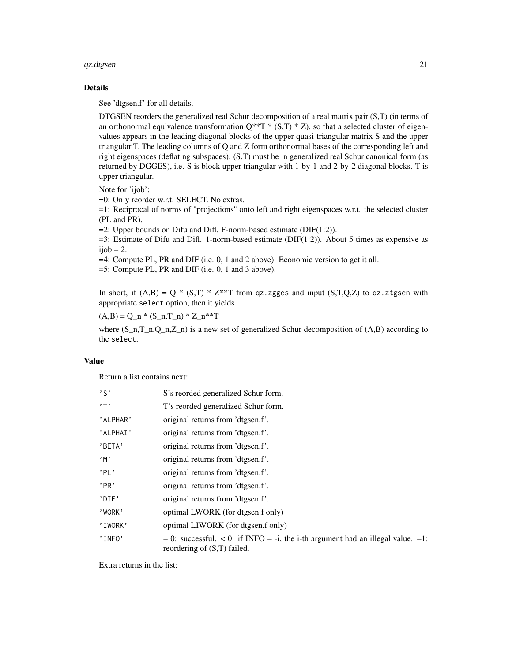#### $qz.dtgsen$  21

#### Details

See 'dtgsen.f' for all details.

DTGSEN reorders the generalized real Schur decomposition of a real matrix pair (S,T) (in terms of an orthonormal equivalence transformation  $Q^{**}T^*$  (S,T)  $^*$  Z), so that a selected cluster of eigenvalues appears in the leading diagonal blocks of the upper quasi-triangular matrix S and the upper triangular T. The leading columns of Q and Z form orthonormal bases of the corresponding left and right eigenspaces (deflating subspaces). (S,T) must be in generalized real Schur canonical form (as returned by DGGES), i.e. S is block upper triangular with 1-by-1 and 2-by-2 diagonal blocks. T is upper triangular.

Note for 'ijob':

=0: Only reorder w.r.t. SELECT. No extras.

=1: Reciprocal of norms of "projections" onto left and right eigenspaces w.r.t. the selected cluster (PL and PR).

 $=2$ : Upper bounds on Difu and Difl. F-norm-based estimate (DIF(1:2)).

 $=3$ : Estimate of Difu and Difl. 1-norm-based estimate (DIF(1:2)). About 5 times as expensive as  $ijob = 2.$ 

=4: Compute PL, PR and DIF (i.e. 0, 1 and 2 above): Economic version to get it all.

=5: Compute PL, PR and DIF (i.e. 0, 1 and 3 above).

In short, if  $(A,B) = Q * (S,T) * Z^{**}T$  from qz.zgges and input  $(S,T,Q,Z)$  to qz.ztgsen with appropriate select option, then it yields

 $(A,B) = Q_n * (S_n,T_n) * Z_n * *T$ 

where  $(S_n, T_n, Q_n, Z_n)$  is a new set of generalized Schur decomposition of  $(A, B)$  according to the select.

#### Value

Return a list contains next:

| $, \varsigma$  | S's reorded generalized Schur form.                                                                               |
|----------------|-------------------------------------------------------------------------------------------------------------------|
| $, \mathsf{T}$ | T's reorded generalized Schur form.                                                                               |
| 'ALPHAR'       | original returns from 'dtgsen.f'.                                                                                 |
| 'ALPHAI'       | original returns from 'dtgsen.f'.                                                                                 |
| 'BETA'         | original returns from 'dtgsen.f'.                                                                                 |
| ,m             | original returns from 'dtgsen.f'.                                                                                 |
| 'PL'           | original returns from 'dtgsen.f'.                                                                                 |
| 'PR'           | original returns from 'dtgsen.f'.                                                                                 |
| 'DIF'          | original returns from 'dtgsen.f'.                                                                                 |
| 'WORK'         | optimal LWORK (for dtgsen.f only)                                                                                 |
| 'IWORK'        | optimal LIWORK (for dtgsen.f only)                                                                                |
| 'INFO'         | $= 0$ : successful. < 0: if INFO = -i, the i-th argument had an illegal value. =1:<br>reordering of (S,T) failed. |

Extra returns in the list: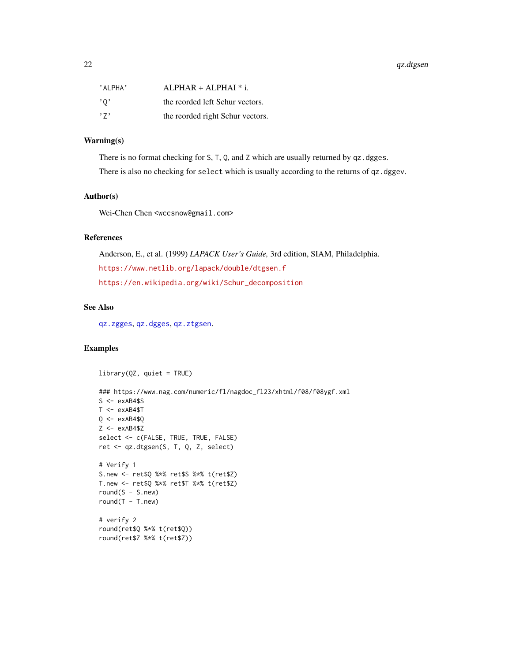<span id="page-21-0"></span>

| 'ALPHA' | $ALPHAR + ALPHAI * i.$           |
|---------|----------------------------------|
| ,0,     | the reorded left Schur vectors.  |
| ,7,     | the reorded right Schur vectors. |

# Warning(s)

There is no format checking for S, T, Q, and Z which are usually returned by qz.dgges. There is also no checking for select which is usually according to the returns of qz.dggev.

#### Author(s)

Wei-Chen Chen <wccsnow@gmail.com>

#### References

Anderson, E., et al. (1999) *LAPACK User's Guide,* 3rd edition, SIAM, Philadelphia. <https://www.netlib.org/lapack/double/dtgsen.f> [https://en.wikipedia.org/wiki/Schur\\_decomposition](https://en.wikipedia.org/wiki/Schur_decomposition)

# See Also

[qz.zgges](#page-27-1), [qz.dgges](#page-15-1), [qz.ztgsen](#page-31-1).

# Examples

```
library(QZ, quiet = TRUE)### https://www.nag.com/numeric/fl/nagdoc_fl23/xhtml/f08/f08ygf.xml
S \leftarrow exAB4$S
T < -e xAB4$T
Q \leq -e \times AB4$Q
Z \leftarrow exAB4$Z
select <- c(FALSE, TRUE, TRUE, FALSE)
ret <- qz.dtgsen(S, T, Q, Z, select)
# Verify 1
S.new <- ret$Q %*% ret$S %*% t(ret$Z)
T.new <- ret$Q %*% ret$T %*% t(ret$Z)
round(S - S.new)
round(T - T.new)# verify 2
round(ret$Q %*% t(ret$Q))
round(ret$Z %*% t(ret$Z))
```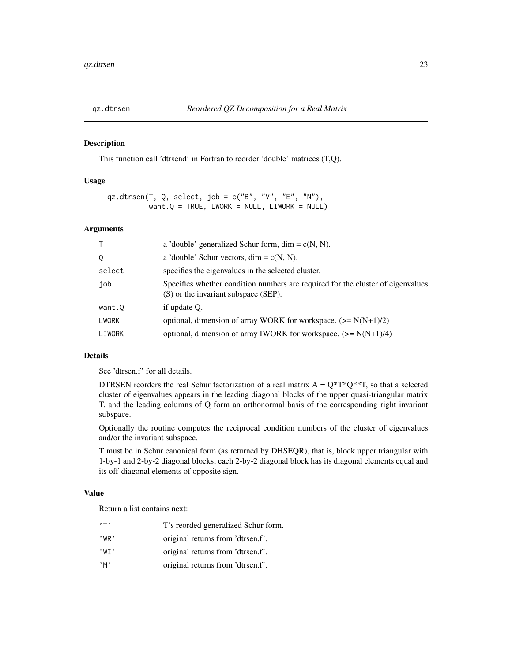<span id="page-22-1"></span><span id="page-22-0"></span>

#### Description

This function call 'dtrsend' in Fortran to reorder 'double' matrices (T,Q).

#### Usage

```
qz.dtrsen(T, Q, select, job = c("B", "V", "E", "N"),
          want.Q = TRUE, LWORK = NULL, LIWORK = NULL)
```
# Arguments

| T.           | a 'double' generalized Schur form, dim = $c(N, N)$ .                                                                    |
|--------------|-------------------------------------------------------------------------------------------------------------------------|
| 0            | a 'double' Schur vectors, dim = $c(N, N)$ .                                                                             |
| select       | specifies the eigenvalues in the selected cluster.                                                                      |
| job          | Specifies whether condition numbers are required for the cluster of eigenvalues<br>(S) or the invariant subspace (SEP). |
| want.Q       | if update Q.                                                                                                            |
| <b>LWORK</b> | optional, dimension of array WORK for workspace. $(\geq N(N+1)/2)$                                                      |
| LIWORK       | optional, dimension of array IWORK for workspace. $(\geq N(N+1)/4)$                                                     |

#### Details

See 'dtrsen.f' for all details.

DTRSEN reorders the real Schur factorization of a real matrix  $A = Q^*T^*Q^{**}T$ , so that a selected cluster of eigenvalues appears in the leading diagonal blocks of the upper quasi-triangular matrix T, and the leading columns of Q form an orthonormal basis of the corresponding right invariant subspace.

Optionally the routine computes the reciprocal condition numbers of the cluster of eigenvalues and/or the invariant subspace.

T must be in Schur canonical form (as returned by DHSEQR), that is, block upper triangular with 1-by-1 and 2-by-2 diagonal blocks; each 2-by-2 diagonal block has its diagonal elements equal and its off-diagonal elements of opposite sign.

#### Value

Return a list contains next:

| $, \tau$ , | T's reorded generalized Schur form. |
|------------|-------------------------------------|
| $'$ WR $'$ | original returns from 'dtrsen.f'.   |
| 'WT'       | original returns from 'dtrsen.f'.   |
| $,$ M $,$  | original returns from 'dtrsen.f'.   |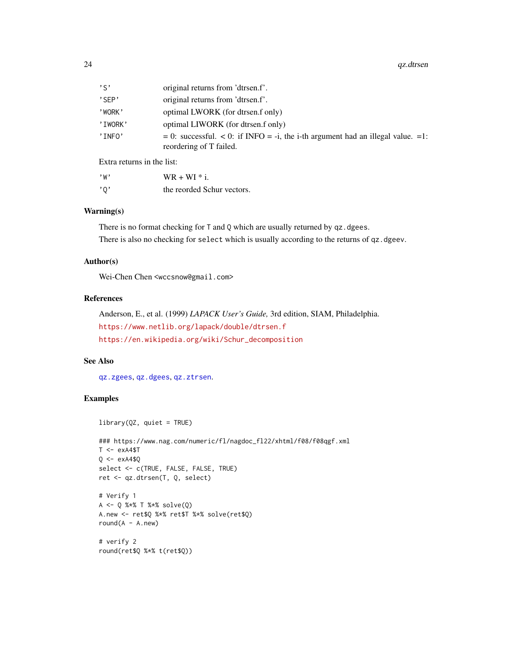<span id="page-23-0"></span>

| $, \varsigma$ | original returns from 'dtrsen.f'.                                                                                |
|---------------|------------------------------------------------------------------------------------------------------------------|
| 'SFP'         | original returns from 'dtrsen.f'.                                                                                |
| 'WORK'        | optimal LWORK (for dtrsen.f only)                                                                                |
| 'IWORK'       | optimal LIWORK (for dtrsen.f only)                                                                               |
| 'INFO'        | $= 0$ : successful. $< 0$ : if INFO = -i, the i-th argument had an illegal value. =1:<br>reordering of T failed. |

Extra returns in the list:

| , w                       | $WR + WI * i$ .            |
|---------------------------|----------------------------|
| $^{\prime}$ 0 $^{\prime}$ | the reorded Schur vectors. |

# Warning(s)

There is no format checking for T and Q which are usually returned by qz.dgees. There is also no checking for select which is usually according to the returns of qz.dgeev.

# Author(s)

Wei-Chen Chen <wccsnow@gmail.com>

# References

Anderson, E., et al. (1999) *LAPACK User's Guide,* 3rd edition, SIAM, Philadelphia. <https://www.netlib.org/lapack/double/dtrsen.f> [https://en.wikipedia.org/wiki/Schur\\_decomposition](https://en.wikipedia.org/wiki/Schur_decomposition)

#### See Also

[qz.zgees](#page-24-1), [qz.dgees](#page-11-1), [qz.ztrsen](#page-34-1).

# Examples

```
library(QZ, quiet = TRUE)
### https://www.nag.com/numeric/fl/nagdoc_fl22/xhtml/f08/f08qgf.xml
T < -e xA4$T
Q \leftarrow exA4$Q
select <- c(TRUE, FALSE, FALSE, TRUE)
ret <- qz.dtrsen(T, Q, select)
# Verify 1
A <- Q %*% T %*% solve(Q)
A.new <- ret$Q %*% ret$T %*% solve(ret$Q)
round(A - A.new)
# verify 2
round(ret$Q %*% t(ret$Q))
```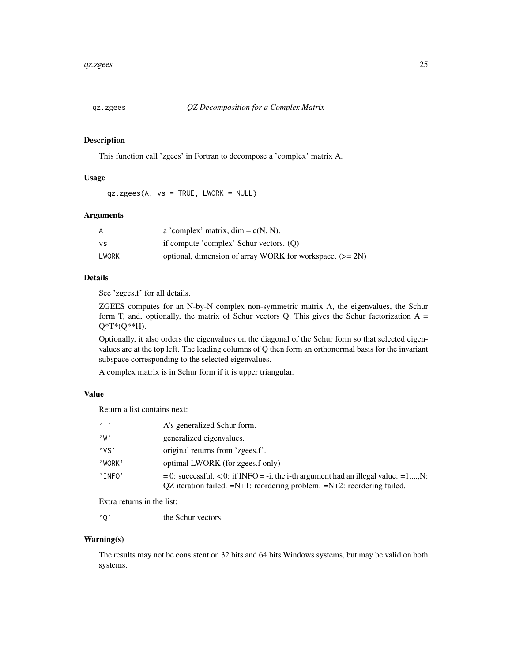<span id="page-24-1"></span><span id="page-24-0"></span>

#### Description

This function call 'zgees' in Fortran to decompose a 'complex' matrix A.

#### Usage

qz.zgees(A, vs = TRUE, LWORK = NULL)

#### Arguments

| A     | a 'complex' matrix, $\dim = c(N, N)$ .                     |
|-------|------------------------------------------------------------|
| vs    | if compute 'complex' Schur vectors. $(0)$                  |
| LWORK | optional, dimension of array WORK for workspace. $(>= 2N)$ |

#### Details

See 'zgees.f' for all details.

ZGEES computes for an N-by-N complex non-symmetric matrix A, the eigenvalues, the Schur form T, and, optionally, the matrix of Schur vectors Q. This gives the Schur factorization  $A =$  $Q^*T^*(Q^{**}H)$ .

Optionally, it also orders the eigenvalues on the diagonal of the Schur form so that selected eigenvalues are at the top left. The leading columns of Q then form an orthonormal basis for the invariant subspace corresponding to the selected eigenvalues.

A complex matrix is in Schur form if it is upper triangular.

#### Value

Return a list contains next:

| $, \mathsf{T}$ | A's generalized Schur form.                                                                                                                                            |
|----------------|------------------------------------------------------------------------------------------------------------------------------------------------------------------------|
| , w            | generalized eigenvalues.                                                                                                                                               |
| 'vs'           | original returns from 'zgees.f'.                                                                                                                                       |
| 'WORK'         | optimal LWORK (for zgees.f only)                                                                                                                                       |
| 'INFO'         | $= 0$ : successful. < 0: if INFO = -i, the i-th argument had an illegal value. =1,,N:<br>QZ iteration failed. $=N+1$ : reordering problem. $=N+2$ : reordering failed. |

Extra returns in the list:

'Q' the Schur vectors.

#### Warning(s)

The results may not be consistent on 32 bits and 64 bits Windows systems, but may be valid on both systems.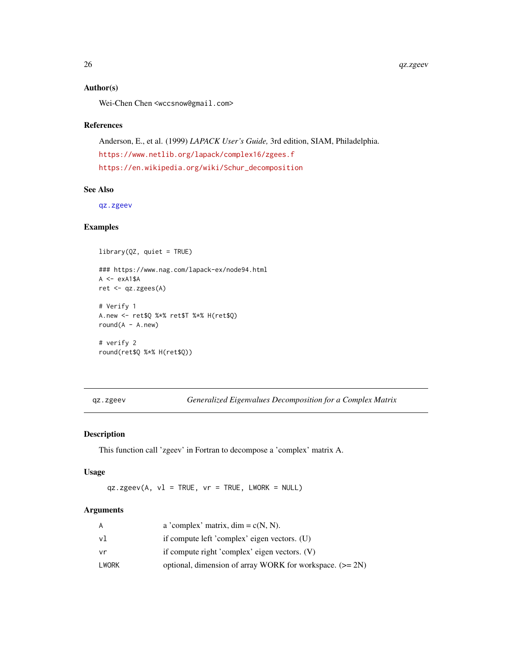# <span id="page-25-0"></span>Author(s)

Wei-Chen Chen <wccsnow@gmail.com>

#### References

Anderson, E., et al. (1999) *LAPACK User's Guide,* 3rd edition, SIAM, Philadelphia. <https://www.netlib.org/lapack/complex16/zgees.f> [https://en.wikipedia.org/wiki/Schur\\_decomposition](https://en.wikipedia.org/wiki/Schur_decomposition)

#### See Also

[qz.zgeev](#page-25-1)

#### Examples

library(QZ, quiet = TRUE) ### https://www.nag.com/lapack-ex/node94.html  $A \leq -e \times A1$ \$A ret <- qz.zgees(A) # Verify 1 A.new <- ret\$Q %\*% ret\$T %\*% H(ret\$Q)  $round(A - A.new)$ # verify 2 round(ret\$Q %\*% H(ret\$Q))

<span id="page-25-1"></span>qz.zgeev *Generalized Eigenvalues Decomposition for a Complex Matrix*

#### Description

This function call 'zgeev' in Fortran to decompose a 'complex' matrix A.

#### Usage

 $qz \text{.zgee}(A, v1 = TRUE, vr = TRUE, LWORK = NULL)$ 

## Arguments

| A     | a 'complex' matrix, $\dim = c(N, N)$ .                     |
|-------|------------------------------------------------------------|
| vl    | if compute left 'complex' eigen vectors. (U)               |
| vr    | if compute right 'complex' eigen vectors. (V)              |
| LWORK | optional, dimension of array WORK for workspace. $(>= 2N)$ |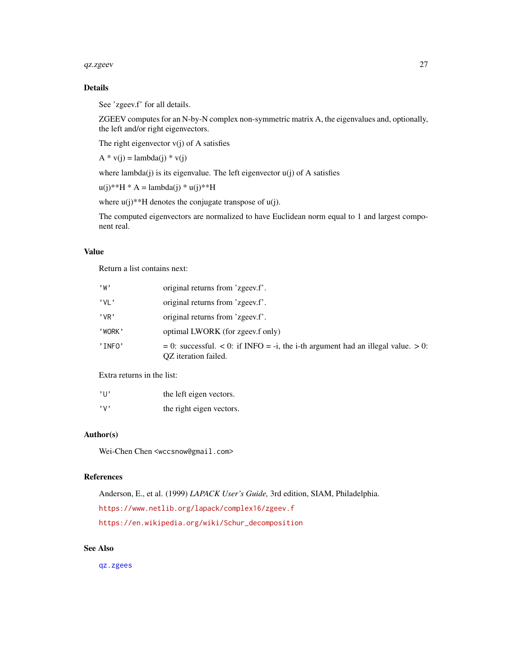#### <span id="page-26-0"></span>qz.zgeev 27

# Details

See 'zgeev.f' for all details.

ZGEEV computes for an N-by-N complex non-symmetric matrix A, the eigenvalues and, optionally, the left and/or right eigenvectors.

The right eigenvector  $v(j)$  of A satisfies

 $A * v(j) =$ lambda(j) \* v(j)

where lambda(j) is its eigenvalue. The left eigenvector  $u(j)$  of A satisfies

 $u(i)**H * A =$ lambda $(i) * u(i)**H$ 

where  $u(j)$ <sup>\*\*</sup>H denotes the conjugate transpose of  $u(j)$ .

The computed eigenvectors are normalized to have Euclidean norm equal to 1 and largest component real.

# Value

Return a list contains next:

| , w        | original returns from 'zgeev.f'.                                                                                     |
|------------|----------------------------------------------------------------------------------------------------------------------|
| $'$ VI $'$ | original returns from 'zgeev.f'.                                                                                     |
| $'$ VR $'$ | original returns from 'zgeev.f'.                                                                                     |
| 'WORK'     | optimal LWORK (for zgeev.f only)                                                                                     |
| 'INFO'     | $= 0$ : successful. $< 0$ : if INFO $= -i$ , the i-th argument had an illegal value. $> 0$ :<br>QZ iteration failed. |

Extra returns in the list:

| $'$ $\vdots$ | the left eigen vectors.  |
|--------------|--------------------------|
| $, \vee$     | the right eigen vectors. |

#### Author(s)

Wei-Chen Chen <wccsnow@gmail.com>

#### References

Anderson, E., et al. (1999) *LAPACK User's Guide,* 3rd edition, SIAM, Philadelphia. <https://www.netlib.org/lapack/complex16/zgeev.f> [https://en.wikipedia.org/wiki/Schur\\_decomposition](https://en.wikipedia.org/wiki/Schur_decomposition)

# See Also

[qz.zgees](#page-24-1)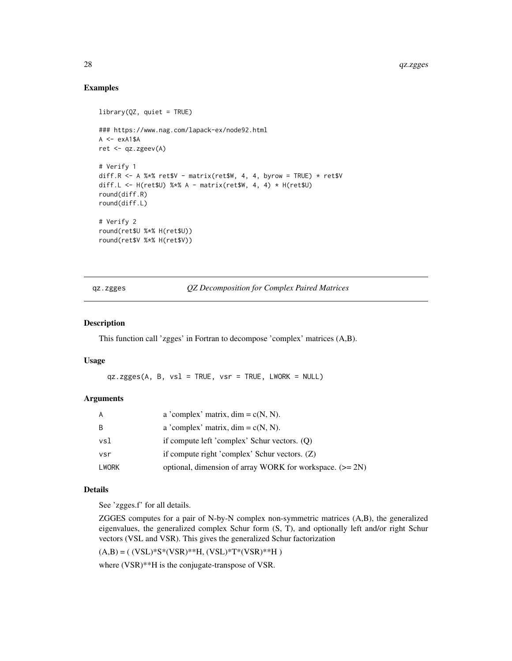# Examples

```
library(QZ, quiet = TRUE)
### https://www.nag.com/lapack-ex/node92.html
A \leq -e \times A1$A
ret <- qz.zgeev(A)
# Verify 1
diff.R \leq A %*% ret$V - matrix(ret$W, 4, 4, byrow = TRUE) * ret$V
diff.L <- H(ret$U) %*% A - matrix(ret$W, 4, 4) * H(ret$U)
round(diff.R)
round(diff.L)
# Verify 2
round(ret$U %*% H(ret$U))
round(ret$V %*% H(ret$V))
```
<span id="page-27-1"></span>qz.zgges *QZ Decomposition for Complex Paired Matrices*

#### Description

This function call 'zgges' in Fortran to decompose 'complex' matrices (A,B).

#### Usage

qz.zgges(A, B, vsl = TRUE, vsr = TRUE, LWORK = NULL)

#### Arguments

| A     | a 'complex' matrix, $\dim = c(N, N)$ .                     |
|-------|------------------------------------------------------------|
| B     | a 'complex' matrix, $\dim = c(N, N)$ .                     |
| vsl   | if compute left 'complex' Schur vectors. (Q)               |
| vsr   | if compute right 'complex' Schur vectors. (Z)              |
| LWORK | optional, dimension of array WORK for workspace. $(>= 2N)$ |

#### Details

See 'zgges.f' for all details.

ZGGES computes for a pair of N-by-N complex non-symmetric matrices (A,B), the generalized eigenvalues, the generalized complex Schur form (S, T), and optionally left and/or right Schur vectors (VSL and VSR). This gives the generalized Schur factorization

 $(A,B) = ( (VSL)*S*(VSR)**H, (VSL)*T*(VSR)**H )$ 

where (VSR)\*\*H is the conjugate-transpose of VSR.

<span id="page-27-0"></span>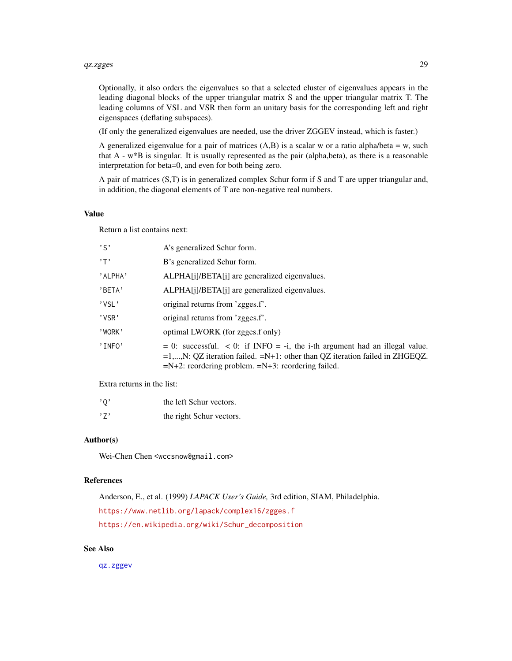#### <span id="page-28-0"></span>qz.zgges 29

Optionally, it also orders the eigenvalues so that a selected cluster of eigenvalues appears in the leading diagonal blocks of the upper triangular matrix S and the upper triangular matrix T. The leading columns of VSL and VSR then form an unitary basis for the corresponding left and right eigenspaces (deflating subspaces).

(If only the generalized eigenvalues are needed, use the driver ZGGEV instead, which is faster.)

A generalized eigenvalue for a pair of matrices  $(A,B)$  is a scalar w or a ratio alpha/beta = w, such that A - w\*B is singular. It is usually represented as the pair (alpha,beta), as there is a reasonable interpretation for beta=0, and even for both being zero.

A pair of matrices (S,T) is in generalized complex Schur form if S and T are upper triangular and, in addition, the diagonal elements of T are non-negative real numbers.

#### Value

Return a list contains next:

| $, \varsigma,$ | A's generalized Schur form.                                                                                                                                                                                                     |
|----------------|---------------------------------------------------------------------------------------------------------------------------------------------------------------------------------------------------------------------------------|
| $, \mathsf{T}$ | B's generalized Schur form.                                                                                                                                                                                                     |
| 'ALPHA'        | ALPHA[j]/BETA[j] are generalized eigenvalues.                                                                                                                                                                                   |
| 'BETA'         | ALPHA[j]/BETA[j] are generalized eigenvalues.                                                                                                                                                                                   |
| 'VSL'          | original returns from 'zgges.f'.                                                                                                                                                                                                |
| 'VSR'          | original returns from 'zgges.f'.                                                                                                                                                                                                |
| 'WORK'         | optimal LWORK (for zgges.f only)                                                                                                                                                                                                |
| 'INFO'         | $= 0$ : successful. < 0: if INFO = -i, the i-th argument had an illegal value.<br>$=1,,N$ : QZ iteration failed. $=N+1$ : other than QZ iteration failed in ZHGEQZ.<br>$=N+2$ : reordering problem. $=N+3$ : reordering failed. |
|                |                                                                                                                                                                                                                                 |

Extra returns in the list:

| '0' | the left Schur vectors.  |
|-----|--------------------------|
| ,7, | the right Schur vectors. |

# Author(s)

Wei-Chen Chen <wccsnow@gmail.com>

#### References

Anderson, E., et al. (1999) *LAPACK User's Guide,* 3rd edition, SIAM, Philadelphia. <https://www.netlib.org/lapack/complex16/zgges.f> [https://en.wikipedia.org/wiki/Schur\\_decomposition](https://en.wikipedia.org/wiki/Schur_decomposition)

#### See Also

[qz.zggev](#page-29-1)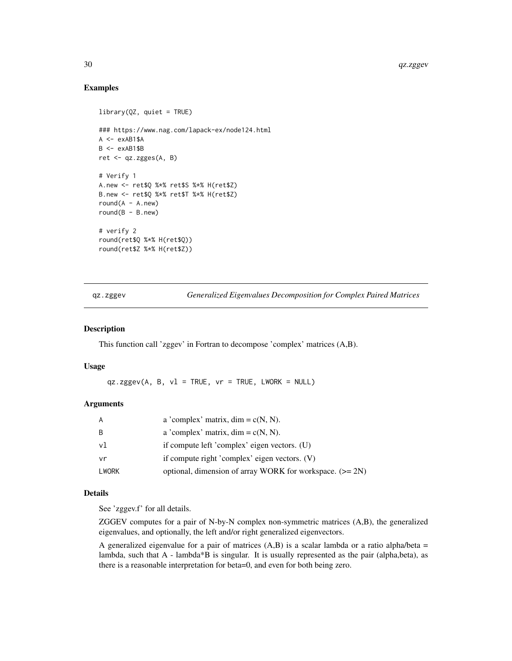#### Examples

```
library(QZ, quiet = TRUE)
### https://www.nag.com/lapack-ex/node124.html
A \leq -e \times AB1$A
B \leq -e xAB1$B
ret <- qz.zgges(A, B)
# Verify 1
A.new <- ret$Q %*% ret$S %*% H(ret$Z)
B.new <- ret$Q %*% ret$T %*% H(ret$Z)
round(A - A.new)round(B - B.new)# verify 2
round(ret$Q %*% H(ret$Q))
round(ret$Z %*% H(ret$Z))
```
<span id="page-29-1"></span>qz.zggev *Generalized Eigenvalues Decomposition for Complex Paired Matrices*

#### Description

This function call 'zggev' in Fortran to decompose 'complex' matrices (A,B).

#### Usage

 $qz \text{.zggev(A, B, v1 = TRUE, vr = TRUE, LWORK = NULL)}$ 

# Arguments

| A     | a 'complex' matrix, $\dim = c(N, N)$ .                     |
|-------|------------------------------------------------------------|
| B     | a 'complex' matrix, $\dim = c(N, N)$ .                     |
| vl    | if compute left 'complex' eigen vectors. (U)               |
| vr    | if compute right 'complex' eigen vectors. (V)              |
| LWORK | optional, dimension of array WORK for workspace. $(>= 2N)$ |

# Details

See 'zggev.f' for all details.

ZGGEV computes for a pair of N-by-N complex non-symmetric matrices (A,B), the generalized eigenvalues, and optionally, the left and/or right generalized eigenvectors.

A generalized eigenvalue for a pair of matrices  $(A,B)$  is a scalar lambda or a ratio alpha/beta = lambda, such that A - lambda\*B is singular. It is usually represented as the pair (alpha,beta), as there is a reasonable interpretation for beta=0, and even for both being zero.

<span id="page-29-0"></span>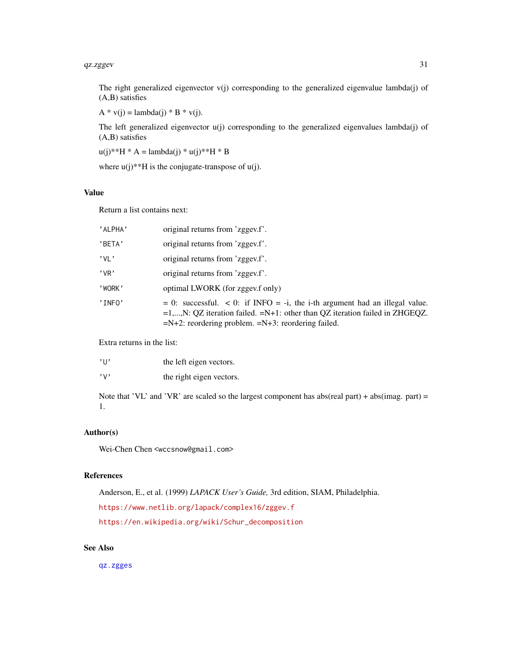#### <span id="page-30-0"></span> $qz \text{.}z \text{.}$ gev $\frac{31}{2}$

The right generalized eigenvector  $v(i)$  corresponding to the generalized eigenvalue lambda $(i)$  of (A,B) satisfies

 $A * v(j) =$ lambda(j) \* B \* v(j).

The left generalized eigenvector u(j) corresponding to the generalized eigenvalues lambda(j) of (A,B) satisfies

 $u(j)$ \*\*H \* A = lambda(j) \*  $u(j)$ \*\*H \* B

where  $u(j)$ <sup>\*\*</sup>H is the conjugate-transpose of  $u(j)$ .

# Value

Return a list contains next:

| 'ALPHA'    | original returns from 'zggev.f'.                                                                                                                                                                                                      |
|------------|---------------------------------------------------------------------------------------------------------------------------------------------------------------------------------------------------------------------------------------|
| 'BETA'     | original returns from 'zggev.f'.                                                                                                                                                                                                      |
| $'$ VI $'$ | original returns from 'zggev.f'.                                                                                                                                                                                                      |
| $'$ VR $'$ | original returns from 'zggev.f'.                                                                                                                                                                                                      |
| 'WORK'     | optimal LWORK (for zggev.f only)                                                                                                                                                                                                      |
| 'INFO'     | $= 0$ : successful. $< 0$ : if INFO $= -i$ , the i-th argument had an illegal value.<br>$=1,,N$ : QZ iteration failed. $=N+1$ : other than QZ iteration failed in ZHGEQZ.<br>$=N+2$ : reordering problem. $=N+3$ : reordering failed. |

Extra returns in the list:

| $^{\prime}$ $\mathsf{H}^{\prime}$ | the left eigen vectors.  |
|-----------------------------------|--------------------------|
| $, \vee, \vee$                    | the right eigen vectors. |

Note that 'VL' and 'VR' are scaled so the largest component has abs(real part) + abs(imag. part) = 1.

# Author(s)

Wei-Chen Chen <wccsnow@gmail.com>

#### References

Anderson, E., et al. (1999) *LAPACK User's Guide,* 3rd edition, SIAM, Philadelphia.

<https://www.netlib.org/lapack/complex16/zggev.f>

[https://en.wikipedia.org/wiki/Schur\\_decomposition](https://en.wikipedia.org/wiki/Schur_decomposition)

# See Also

[qz.zgges](#page-27-1)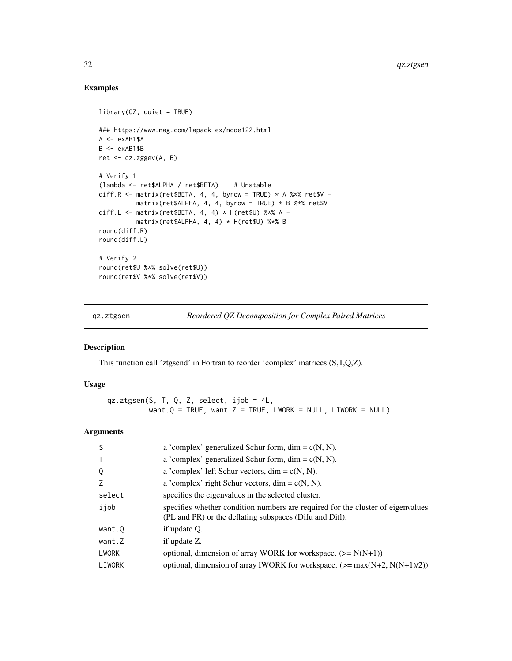# Examples

```
library(QZ, quiet = TRUE)
### https://www.nag.com/lapack-ex/node122.html
A \leq -e \times AB1$A
B <- exAB1$B
ret <- qz.zggev(A, B)
# Verify 1
(lambda <- ret$ALPHA / ret$BETA) # Unstable
diff.R <- matrix(ret$BETA, 4, 4, byrow = TRUE) * A %*% ret$V -
         matrix(ret$ALPHA, 4, 4, byrow = TRUE) * B $**$ ret$Vdiff.L <- matrix(ret$BETA, 4, 4) * H(ret$U) %*% A -
          matrix(ret$ALPHA, 4, 4) * H(ret$U) %*% B
round(diff.R)
round(diff.L)
# Verify 2
round(ret$U %*% solve(ret$U))
round(ret$V %*% solve(ret$V))
```
<span id="page-31-1"></span>qz.ztgsen *Reordered QZ Decomposition for Complex Paired Matrices*

#### Description

This function call 'ztgsend' in Fortran to reorder 'complex' matrices (S,T,Q,Z).

# Usage

qz.ztgsen(S, T, Q, Z, select, ijob = 4L, want. $Q = TRUE$ , want. $Z = TRUE$ , LWORK = NULL, LIWORK = NULL)

# Arguments

| <sub>S</sub> | a 'complex' generalized Schur form, dim = $c(N, N)$ .                                                                                      |
|--------------|--------------------------------------------------------------------------------------------------------------------------------------------|
| $\top$       | a 'complex' generalized Schur form, dim = $c(N, N)$ .                                                                                      |
| Q            | a 'complex' left Schur vectors, dim = $c(N, N)$ .                                                                                          |
| Z            | a 'complex' right Schur vectors, $\dim = c(N, N)$ .                                                                                        |
| select       | specifies the eigenvalues in the selected cluster.                                                                                         |
| ijob         | specifies whether condition numbers are required for the cluster of eigenvalues<br>(PL and PR) or the deflating subspaces (Difu and Diff). |
| want.0       | if update Q.                                                                                                                               |
| want.Z       | if update Z.                                                                                                                               |
| <b>LWORK</b> | optional, dimension of array WORK for workspace. $(>= N(N+1))$                                                                             |
| LIWORK       | optional, dimension of array IWORK for workspace. $(\geq = \max(N+2, N(N+1)/2))$                                                           |

<span id="page-31-0"></span>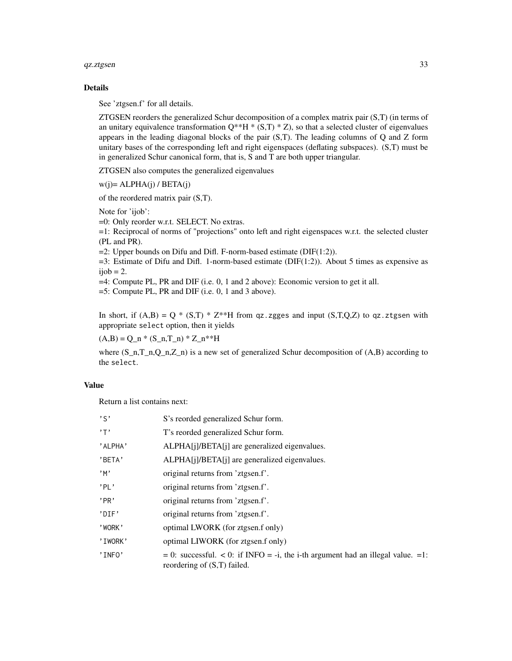#### $qz.ztgsen$  33

#### Details

See 'ztgsen.f' for all details.

ZTGSEN reorders the generalized Schur decomposition of a complex matrix pair (S,T) (in terms of an unitary equivalence transformation  $Q^{**}H^*(S,T)^*Z$ , so that a selected cluster of eigenvalues appears in the leading diagonal blocks of the pair (S,T). The leading columns of Q and Z form unitary bases of the corresponding left and right eigenspaces (deflating subspaces). (S,T) must be in generalized Schur canonical form, that is, S and T are both upper triangular.

ZTGSEN also computes the generalized eigenvalues

 $w(i) = ALPHA(i) / BETA(i)$ 

of the reordered matrix pair (S,T).

Note for 'ijob':

=0: Only reorder w.r.t. SELECT. No extras.

=1: Reciprocal of norms of "projections" onto left and right eigenspaces w.r.t. the selected cluster (PL and PR).

 $=2$ : Upper bounds on Difu and Difl. F-norm-based estimate (DIF(1:2)).

 $=3$ : Estimate of Difu and Difl. 1-norm-based estimate (DIF(1:2)). About 5 times as expensive as  $ijob = 2.$ 

=4: Compute PL, PR and DIF (i.e. 0, 1 and 2 above): Economic version to get it all.

=5: Compute PL, PR and DIF (i.e. 0, 1 and 3 above).

In short, if  $(A,B) = Q * (S,T) * Z^{**}H$  from qz.zgges and input  $(S,T,Q,Z)$  to qz.ztgsen with appropriate select option, then it yields

 $(A,B) = Q_n * (S_n,T_n) * Z_n**H$ 

where  $(S_n, T_n, Q_n, Z_n)$  is a new set of generalized Schur decomposition of  $(A, B)$  according to the select.

# Value

Return a list contains next:

| $, \varsigma$ | S's reorded generalized Schur form.                                                                                 |
|---------------|---------------------------------------------------------------------------------------------------------------------|
| , 7,          | T's reorded generalized Schur form.                                                                                 |
| 'ALPHA'       | ALPHA[j]/BETA[j] are generalized eigenvalues.                                                                       |
| 'BETA'        | ALPHA[j]/BETA[j] are generalized eigenvalues.                                                                       |
| ,m            | original returns from 'ztgsen.f'.                                                                                   |
| 'PI'          | original returns from 'ztgsen.f'.                                                                                   |
| 'PR'          | original returns from 'ztgsen.f'.                                                                                   |
| 'DIF'         | original returns from 'ztgsen.f'.                                                                                   |
| 'WORK'        | optimal LWORK (for ztgsen.f only)                                                                                   |
| 'IWORK'       | optimal LIWORK (for ztgsen.f only)                                                                                  |
| 'INFO'        | $= 0$ : successful. < 0: if INFO = -i, the i-th argument had an illegal value. =1:<br>reordering of $(S,T)$ failed. |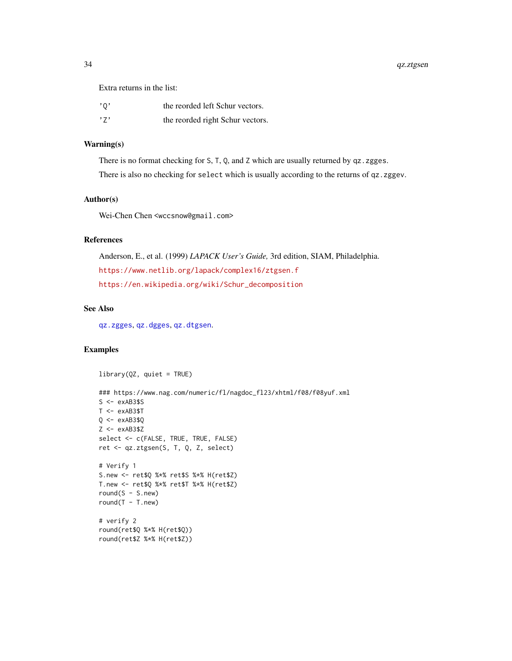<span id="page-33-0"></span>34 qz.ztgsen

Extra returns in the list:

| $^{\prime}$ 0 $^{\prime}$ | the reorded left Schur vectors.  |
|---------------------------|----------------------------------|
| ,7,                       | the reorded right Schur vectors. |

#### Warning(s)

There is no format checking for S, T, Q, and Z which are usually returned by qz.zgges.

There is also no checking for select which is usually according to the returns of qz.zggev.

# Author(s)

Wei-Chen Chen <wccsnow@gmail.com>

# References

Anderson, E., et al. (1999) *LAPACK User's Guide,* 3rd edition, SIAM, Philadelphia. <https://www.netlib.org/lapack/complex16/ztgsen.f> [https://en.wikipedia.org/wiki/Schur\\_decomposition](https://en.wikipedia.org/wiki/Schur_decomposition)

# See Also

[qz.zgges](#page-27-1), [qz.dgges](#page-15-1), [qz.dtgsen](#page-19-1).

# Examples

library(QZ, quiet = TRUE)

```
### https://www.nag.com/numeric/fl/nagdoc_fl23/xhtml/f08/f08yuf.xml
S \leftarrow exAB3$S
T < -e xAB3$T
Q \leftarrow exAB3$Q
Z \leftarrow exAB3$Z
select <- c(FALSE, TRUE, TRUE, FALSE)
ret <- qz.ztgsen(S, T, Q, Z, select)
# Verify 1
S.new <- ret$Q %*% ret$S %*% H(ret$Z)
T.new <- ret$Q %*% ret$T %*% H(ret$Z)
round(S - S.new)
round(T - T.new)# verify 2
round(ret$Q %*% H(ret$Q))
round(ret$Z %*% H(ret$Z))
```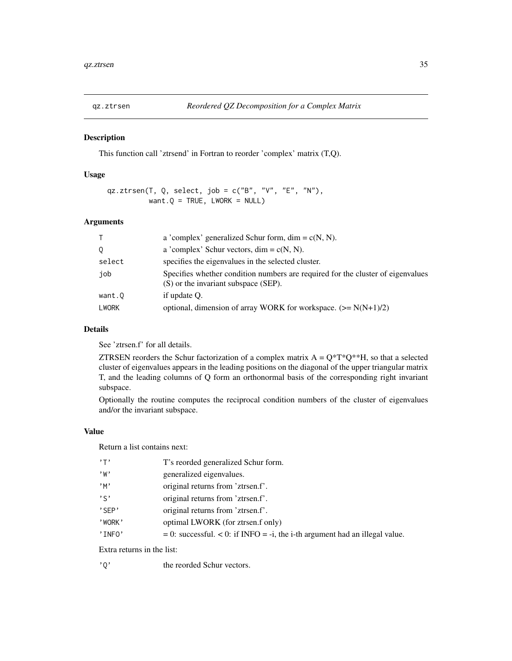<span id="page-34-1"></span><span id="page-34-0"></span>

# Description

This function call 'ztrsend' in Fortran to reorder 'complex' matrix (T,Q).

# Usage

qz.ztrsen(T, Q, select, job = c("B", "V", "E", "N"), want. $Q = TRUE$ , LWORK = NULL)

# Arguments

| T            | a 'complex' generalized Schur form, dim = $c(N, N)$ .                                                                   |
|--------------|-------------------------------------------------------------------------------------------------------------------------|
| 0            | a 'complex' Schur vectors, dim = $c(N, N)$ .                                                                            |
| select       | specifies the eigenvalues in the selected cluster.                                                                      |
| job          | Specifies whether condition numbers are required for the cluster of eigenvalues<br>(S) or the invariant subspace (SEP). |
| want.Q       | if update O.                                                                                                            |
| <b>LWORK</b> | optional, dimension of array WORK for workspace. $(>= N(N+1)/2)$                                                        |

# Details

See 'ztrsen.f' for all details.

ZTRSEN reorders the Schur factorization of a complex matrix  $A = Q^*T^*Q^{**}H$ , so that a selected cluster of eigenvalues appears in the leading positions on the diagonal of the upper triangular matrix T, and the leading columns of Q form an orthonormal basis of the corresponding right invariant subspace.

Optionally the routine computes the reciprocal condition numbers of the cluster of eigenvalues and/or the invariant subspace.

#### Value

Return a list contains next:

| $, \mathsf{T}$ | T's reorded generalized Schur form.                                            |
|----------------|--------------------------------------------------------------------------------|
| , w            | generalized eigenvalues.                                                       |
| $,$ M $,$      | original returns from 'ztrsen.f'.                                              |
| $, \varsigma,$ | original returns from 'ztrsen.f'.                                              |
| 'SFP'          | original returns from 'ztrsen.f'.                                              |
| 'WORK'         | optimal LWORK (for ztrsen.f only)                                              |
| 'INFO'         | $= 0$ : successful. < 0: if INFO = -i, the i-th argument had an illegal value. |
|                |                                                                                |

Extra returns in the list:

'Q' the reorded Schur vectors.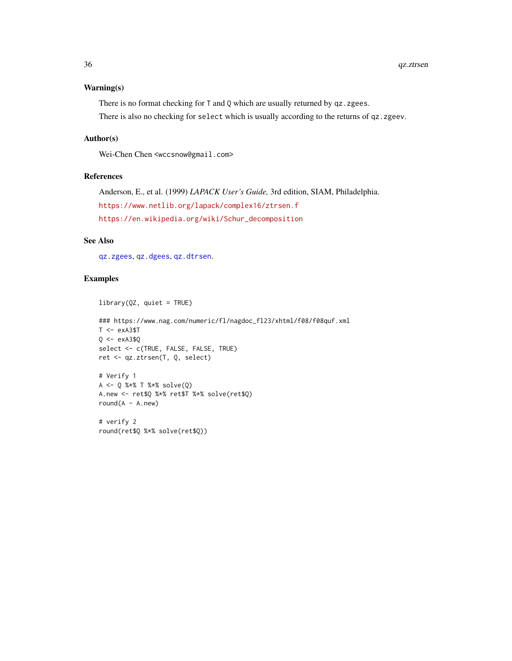#### <span id="page-35-0"></span>Warning(s)

There is no format checking for T and Q which are usually returned by qz.zgees.

There is also no checking for select which is usually according to the returns of qz.zgeev.

#### Author(s)

Wei-Chen Chen <wccsnow@gmail.com>

#### References

Anderson, E., et al. (1999) *LAPACK User's Guide,* 3rd edition, SIAM, Philadelphia. <https://www.netlib.org/lapack/complex16/ztrsen.f> [https://en.wikipedia.org/wiki/Schur\\_decomposition](https://en.wikipedia.org/wiki/Schur_decomposition)

# See Also

[qz.zgees](#page-24-1), [qz.dgees](#page-11-1), [qz.dtrsen](#page-22-1).

#### Examples

```
library(QZ, quiet = TRUE)
```

```
### https://www.nag.com/numeric/fl/nagdoc_fl23/xhtml/f08/f08quf.xml
T < -e xA3$T
Q \leftarrow exA3$Q
select <- c(TRUE, FALSE, FALSE, TRUE)
ret <- qz.ztrsen(T, Q, select)
# Verify 1
A <- Q %*% T %*% solve(Q)
A.new <- ret$Q %*% ret$T %*% solve(ret$Q)
round(A - A.new)
```
# verify 2 round(ret\$Q %\*% solve(ret\$Q))